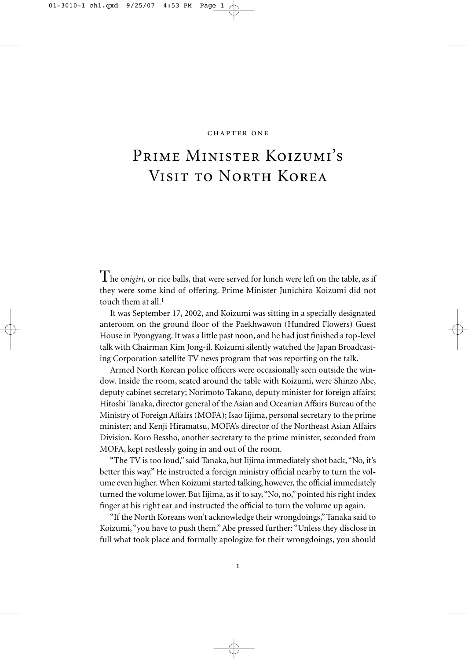#### chapter one

# Prime Minister Koizumi's Visit to North Korea

The o*nigiri,* or rice balls, that were served for lunch were left on the table, as if they were some kind of offering. Prime Minister Junichiro Koizumi did not touch them at all. $<sup>1</sup>$ </sup>

It was September 17, 2002, and Koizumi was sitting in a specially designated anteroom on the ground floor of the Paekhwawon (Hundred Flowers) Guest House in Pyongyang. It was a little past noon, and he had just finished a top-level talk with Chairman Kim Jong-il. Koizumi silently watched the Japan Broadcasting Corporation satellite TV news program that was reporting on the talk.

Armed North Korean police officers were occasionally seen outside the window. Inside the room, seated around the table with Koizumi, were Shinzo Abe, deputy cabinet secretary; Norimoto Takano, deputy minister for foreign affairs; Hitoshi Tanaka, director general of the Asian and Oceanian Affairs Bureau of the Ministry of Foreign Affairs (MOFA); Isao Iijima, personal secretary to the prime minister; and Kenji Hiramatsu, MOFA's director of the Northeast Asian Affairs Division. Koro Bessho, another secretary to the prime minister, seconded from MOFA, kept restlessly going in and out of the room.

"The TV is too loud," said Tanaka, but Iijima immediately shot back, "No, it's better this way." He instructed a foreign ministry official nearby to turn the volume even higher. When Koizumi started talking, however, the official immediately turned the volume lower. But Iijima, as if to say,"No, no," pointed his right index finger at his right ear and instructed the official to turn the volume up again.

"If the North Koreans won't acknowledge their wrongdoings," Tanaka said to Koizumi, "you have to push them." Abe pressed further: "Unless they disclose in full what took place and formally apologize for their wrongdoings, you should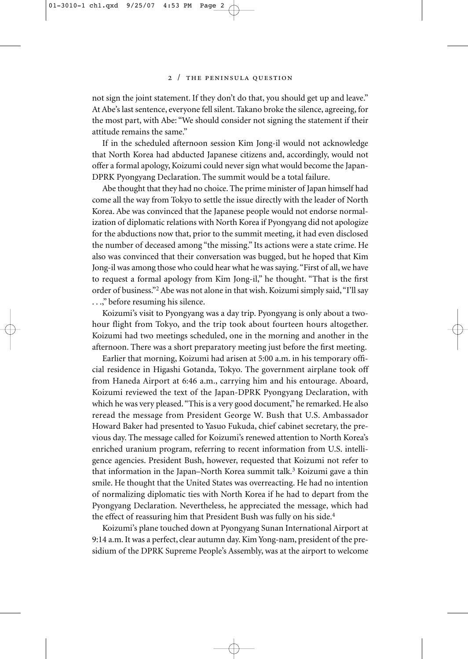not sign the joint statement. If they don't do that, you should get up and leave." At Abe's last sentence, everyone fell silent. Takano broke the silence, agreeing, for the most part, with Abe: "We should consider not signing the statement if their attitude remains the same."

If in the scheduled afternoon session Kim Jong-il would not acknowledge that North Korea had abducted Japanese citizens and, accordingly, would not offer a formal apology, Koizumi could never sign what would become the Japan-DPRK Pyongyang Declaration. The summit would be a total failure.

Abe thought that they had no choice. The prime minister of Japan himself had come all the way from Tokyo to settle the issue directly with the leader of North Korea. Abe was convinced that the Japanese people would not endorse normalization of diplomatic relations with North Korea if Pyongyang did not apologize for the abductions now that, prior to the summit meeting, it had even disclosed the number of deceased among "the missing." Its actions were a state crime. He also was convinced that their conversation was bugged, but he hoped that Kim Jong-il was among those who could hear what he was saying."First of all, we have to request a formal apology from Kim Jong-il," he thought. "That is the first order of business."2 Abe was not alone in that wish. Koizumi simply said,"I'll say . . .," before resuming his silence.

Koizumi's visit to Pyongyang was a day trip. Pyongyang is only about a twohour flight from Tokyo, and the trip took about fourteen hours altogether. Koizumi had two meetings scheduled, one in the morning and another in the afternoon. There was a short preparatory meeting just before the first meeting.

Earlier that morning, Koizumi had arisen at 5:00 a.m. in his temporary official residence in Higashi Gotanda, Tokyo. The government airplane took off from Haneda Airport at 6:46 a.m., carrying him and his entourage. Aboard, Koizumi reviewed the text of the Japan-DPRK Pyongyang Declaration, with which he was very pleased."This is a very good document," he remarked. He also reread the message from President George W. Bush that U.S. Ambassador Howard Baker had presented to Yasuo Fukuda, chief cabinet secretary, the previous day. The message called for Koizumi's renewed attention to North Korea's enriched uranium program, referring to recent information from U.S. intelligence agencies. President Bush, however, requested that Koizumi not refer to that information in the Japan–North Korea summit talk.<sup>3</sup> Koizumi gave a thin smile. He thought that the United States was overreacting. He had no intention of normalizing diplomatic ties with North Korea if he had to depart from the Pyongyang Declaration. Nevertheless, he appreciated the message, which had the effect of reassuring him that President Bush was fully on his side.<sup>4</sup>

Koizumi's plane touched down at Pyongyang Sunan International Airport at 9:14 a.m. It was a perfect, clear autumn day. Kim Yong-nam, president of the presidium of the DPRK Supreme People's Assembly, was at the airport to welcome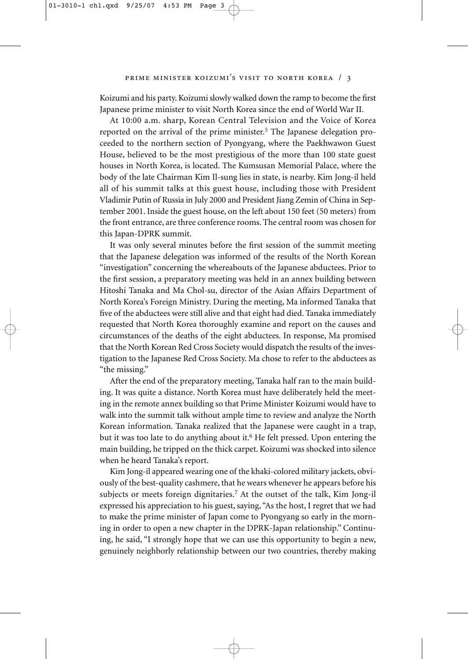Koizumi and his party. Koizumi slowly walked down the ramp to become the first Japanese prime minister to visit North Korea since the end of World War II.

At 10:00 a.m. sharp, Korean Central Television and the Voice of Korea reported on the arrival of the prime minister.5 The Japanese delegation proceeded to the northern section of Pyongyang, where the Paekhwawon Guest House, believed to be the most prestigious of the more than 100 state guest houses in North Korea, is located. The Kumsusan Memorial Palace, where the body of the late Chairman Kim Il-sung lies in state, is nearby. Kim Jong-il held all of his summit talks at this guest house, including those with President Vladimir Putin of Russia in July 2000 and President Jiang Zemin of China in September 2001. Inside the guest house, on the left about 150 feet (50 meters) from the front entrance, are three conference rooms. The central room was chosen for this Japan-DPRK summit.

It was only several minutes before the first session of the summit meeting that the Japanese delegation was informed of the results of the North Korean "investigation" concerning the whereabouts of the Japanese abductees. Prior to the first session, a preparatory meeting was held in an annex building between Hitoshi Tanaka and Ma Chol-su, director of the Asian Affairs Department of North Korea's Foreign Ministry. During the meeting, Ma informed Tanaka that five of the abductees were still alive and that eight had died. Tanaka immediately requested that North Korea thoroughly examine and report on the causes and circumstances of the deaths of the eight abductees. In response, Ma promised that the North Korean Red Cross Society would dispatch the results of the investigation to the Japanese Red Cross Society. Ma chose to refer to the abductees as "the missing."

After the end of the preparatory meeting, Tanaka half ran to the main building. It was quite a distance. North Korea must have deliberately held the meeting in the remote annex building so that Prime Minister Koizumi would have to walk into the summit talk without ample time to review and analyze the North Korean information. Tanaka realized that the Japanese were caught in a trap, but it was too late to do anything about it.<sup>6</sup> He felt pressed. Upon entering the main building, he tripped on the thick carpet. Koizumi was shocked into silence when he heard Tanaka's report.

Kim Jong-il appeared wearing one of the khaki-colored military jackets, obviously of the best-quality cashmere, that he wears whenever he appears before his subjects or meets foreign dignitaries.7 At the outset of the talk, Kim Jong-il expressed his appreciation to his guest, saying, "As the host, I regret that we had to make the prime minister of Japan come to Pyongyang so early in the morning in order to open a new chapter in the DPRK-Japan relationship." Continuing, he said, "I strongly hope that we can use this opportunity to begin a new, genuinely neighborly relationship between our two countries, thereby making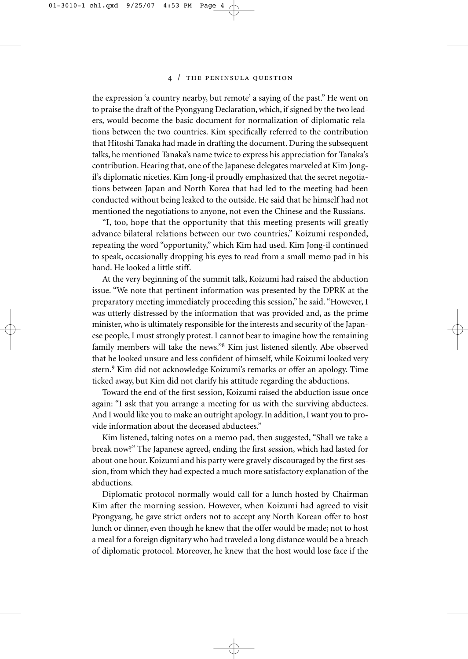the expression 'a country nearby, but remote' a saying of the past." He went on to praise the draft of the Pyongyang Declaration, which, if signed by the two leaders, would become the basic document for normalization of diplomatic relations between the two countries. Kim specifically referred to the contribution that Hitoshi Tanaka had made in drafting the document. During the subsequent talks, he mentioned Tanaka's name twice to express his appreciation for Tanaka's contribution. Hearing that, one of the Japanese delegates marveled at Kim Jongil's diplomatic niceties. Kim Jong-il proudly emphasized that the secret negotiations between Japan and North Korea that had led to the meeting had been conducted without being leaked to the outside. He said that he himself had not mentioned the negotiations to anyone, not even the Chinese and the Russians.

"I, too, hope that the opportunity that this meeting presents will greatly advance bilateral relations between our two countries," Koizumi responded, repeating the word "opportunity," which Kim had used. Kim Jong-il continued to speak, occasionally dropping his eyes to read from a small memo pad in his hand. He looked a little stiff.

At the very beginning of the summit talk, Koizumi had raised the abduction issue. "We note that pertinent information was presented by the DPRK at the preparatory meeting immediately proceeding this session," he said. "However, I was utterly distressed by the information that was provided and, as the prime minister, who is ultimately responsible for the interests and security of the Japanese people, I must strongly protest. I cannot bear to imagine how the remaining family members will take the news."<sup>8</sup> Kim just listened silently. Abe observed that he looked unsure and less confident of himself, while Koizumi looked very stern.9 Kim did not acknowledge Koizumi's remarks or offer an apology. Time ticked away, but Kim did not clarify his attitude regarding the abductions.

Toward the end of the first session, Koizumi raised the abduction issue once again: "I ask that you arrange a meeting for us with the surviving abductees. And I would like you to make an outright apology. In addition, I want you to provide information about the deceased abductees."

Kim listened, taking notes on a memo pad, then suggested, "Shall we take a break now?" The Japanese agreed, ending the first session, which had lasted for about one hour. Koizumi and his party were gravely discouraged by the first session, from which they had expected a much more satisfactory explanation of the abductions.

Diplomatic protocol normally would call for a lunch hosted by Chairman Kim after the morning session. However, when Koizumi had agreed to visit Pyongyang, he gave strict orders not to accept any North Korean offer to host lunch or dinner, even though he knew that the offer would be made; not to host a meal for a foreign dignitary who had traveled a long distance would be a breach of diplomatic protocol. Moreover, he knew that the host would lose face if the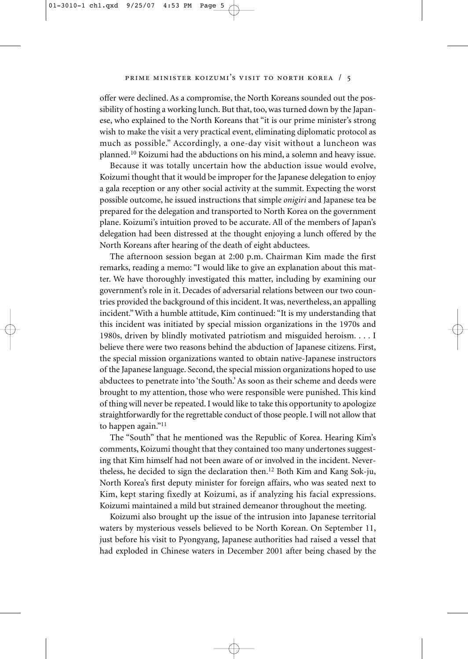offer were declined. As a compromise, the North Koreans sounded out the possibility of hosting a working lunch. But that, too, was turned down by the Japanese, who explained to the North Koreans that "it is our prime minister's strong wish to make the visit a very practical event, eliminating diplomatic protocol as much as possible." Accordingly, a one-day visit without a luncheon was planned.10 Koizumi had the abductions on his mind, a solemn and heavy issue.

Because it was totally uncertain how the abduction issue would evolve, Koizumi thought that it would be improper for the Japanese delegation to enjoy a gala reception or any other social activity at the summit. Expecting the worst possible outcome, he issued instructions that simple *onigiri* and Japanese tea be prepared for the delegation and transported to North Korea on the government plane. Koizumi's intuition proved to be accurate. All of the members of Japan's delegation had been distressed at the thought enjoying a lunch offered by the North Koreans after hearing of the death of eight abductees.

The afternoon session began at 2:00 p.m. Chairman Kim made the first remarks, reading a memo: "I would like to give an explanation about this matter. We have thoroughly investigated this matter, including by examining our government's role in it. Decades of adversarial relations between our two countries provided the background of this incident. It was, nevertheless, an appalling incident." With a humble attitude, Kim continued: "It is my understanding that this incident was initiated by special mission organizations in the 1970s and 1980s, driven by blindly motivated patriotism and misguided heroism....I believe there were two reasons behind the abduction of Japanese citizens. First, the special mission organizations wanted to obtain native-Japanese instructors of the Japanese language. Second, the special mission organizations hoped to use abductees to penetrate into 'the South.' As soon as their scheme and deeds were brought to my attention, those who were responsible were punished. This kind of thing will never be repeated. I would like to take this opportunity to apologize straightforwardly for the regrettable conduct of those people. I will not allow that to happen again."11

The "South" that he mentioned was the Republic of Korea. Hearing Kim's comments, Koizumi thought that they contained too many undertones suggesting that Kim himself had not been aware of or involved in the incident. Nevertheless, he decided to sign the declaration then.12 Both Kim and Kang Sok-ju, North Korea's first deputy minister for foreign affairs, who was seated next to Kim, kept staring fixedly at Koizumi, as if analyzing his facial expressions. Koizumi maintained a mild but strained demeanor throughout the meeting.

Koizumi also brought up the issue of the intrusion into Japanese territorial waters by mysterious vessels believed to be North Korean. On September 11, just before his visit to Pyongyang, Japanese authorities had raised a vessel that had exploded in Chinese waters in December 2001 after being chased by the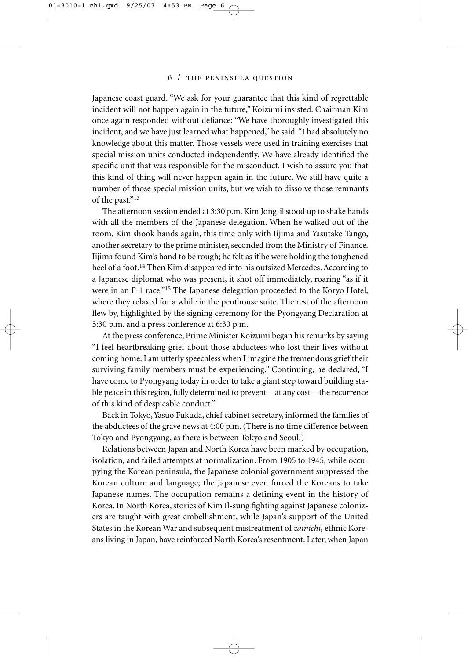Japanese coast guard. "We ask for your guarantee that this kind of regrettable incident will not happen again in the future," Koizumi insisted. Chairman Kim once again responded without defiance: "We have thoroughly investigated this incident, and we have just learned what happened," he said. "I had absolutely no knowledge about this matter. Those vessels were used in training exercises that special mission units conducted independently. We have already identified the specific unit that was responsible for the misconduct. I wish to assure you that this kind of thing will never happen again in the future. We still have quite a number of those special mission units, but we wish to dissolve those remnants of the past."13

The afternoon session ended at 3:30 p.m. Kim Jong-il stood up to shake hands with all the members of the Japanese delegation. When he walked out of the room, Kim shook hands again, this time only with Iijima and Yasutake Tango, another secretary to the prime minister, seconded from the Ministry of Finance. Iijima found Kim's hand to be rough; he felt as if he were holding the toughened heel of a foot.<sup>14</sup> Then Kim disappeared into his outsized Mercedes. According to a Japanese diplomat who was present, it shot off immediately, roaring "as if it were in an F-1 race."<sup>15</sup> The Japanese delegation proceeded to the Koryo Hotel, where they relaxed for a while in the penthouse suite. The rest of the afternoon flew by, highlighted by the signing ceremony for the Pyongyang Declaration at 5:30 p.m. and a press conference at 6:30 p.m.

At the press conference, Prime Minister Koizumi began his remarks by saying "I feel heartbreaking grief about those abductees who lost their lives without coming home. I am utterly speechless when I imagine the tremendous grief their surviving family members must be experiencing." Continuing, he declared, "I have come to Pyongyang today in order to take a giant step toward building stable peace in this region, fully determined to prevent—at any cost—the recurrence of this kind of despicable conduct."

Back in Tokyo, Yasuo Fukuda, chief cabinet secretary, informed the families of the abductees of the grave news at 4:00 p.m. (There is no time difference between Tokyo and Pyongyang, as there is between Tokyo and Seoul.)

Relations between Japan and North Korea have been marked by occupation, isolation, and failed attempts at normalization. From 1905 to 1945, while occupying the Korean peninsula, the Japanese colonial government suppressed the Korean culture and language; the Japanese even forced the Koreans to take Japanese names. The occupation remains a defining event in the history of Korea. In North Korea, stories of Kim Il-sung fighting against Japanese colonizers are taught with great embellishment, while Japan's support of the United States in the Korean War and subsequent mistreatment of *zainichi,* ethnic Koreans living in Japan, have reinforced North Korea's resentment. Later, when Japan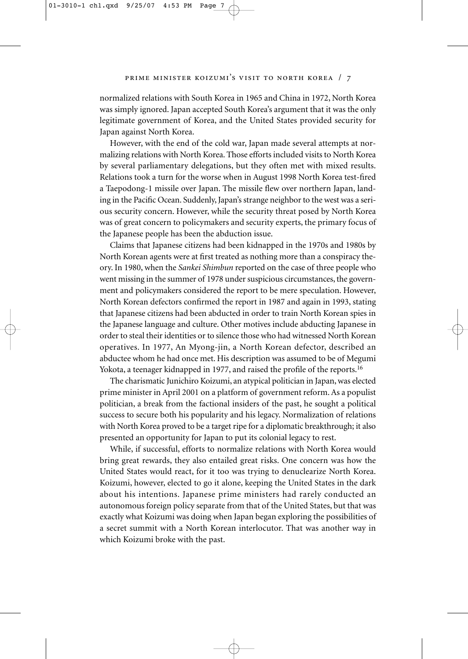normalized relations with South Korea in 1965 and China in 1972, North Korea was simply ignored. Japan accepted South Korea's argument that it was the only legitimate government of Korea, and the United States provided security for Japan against North Korea.

However, with the end of the cold war, Japan made several attempts at normalizing relations with North Korea. Those efforts included visits to North Korea by several parliamentary delegations, but they often met with mixed results. Relations took a turn for the worse when in August 1998 North Korea test-fired a Taepodong-1 missile over Japan. The missile flew over northern Japan, landing in the Pacific Ocean. Suddenly, Japan's strange neighbor to the west was a serious security concern. However, while the security threat posed by North Korea was of great concern to policymakers and security experts, the primary focus of the Japanese people has been the abduction issue.

Claims that Japanese citizens had been kidnapped in the 1970s and 1980s by North Korean agents were at first treated as nothing more than a conspiracy theory. In 1980, when the *Sankei Shimbun* reported on the case of three people who went missing in the summer of 1978 under suspicious circumstances, the government and policymakers considered the report to be mere speculation. However, North Korean defectors confirmed the report in 1987 and again in 1993, stating that Japanese citizens had been abducted in order to train North Korean spies in the Japanese language and culture. Other motives include abducting Japanese in order to steal their identities or to silence those who had witnessed North Korean operatives. In 1977, An Myong-jin, a North Korean defector, described an abductee whom he had once met. His description was assumed to be of Megumi Yokota, a teenager kidnapped in 1977, and raised the profile of the reports.<sup>16</sup>

The charismatic Junichiro Koizumi, an atypical politician in Japan, was elected prime minister in April 2001 on a platform of government reform. As a populist politician, a break from the factional insiders of the past, he sought a political success to secure both his popularity and his legacy. Normalization of relations with North Korea proved to be a target ripe for a diplomatic breakthrough; it also presented an opportunity for Japan to put its colonial legacy to rest.

While, if successful, efforts to normalize relations with North Korea would bring great rewards, they also entailed great risks. One concern was how the United States would react, for it too was trying to denuclearize North Korea. Koizumi, however, elected to go it alone, keeping the United States in the dark about his intentions. Japanese prime ministers had rarely conducted an autonomous foreign policy separate from that of the United States, but that was exactly what Koizumi was doing when Japan began exploring the possibilities of a secret summit with a North Korean interlocutor. That was another way in which Koizumi broke with the past.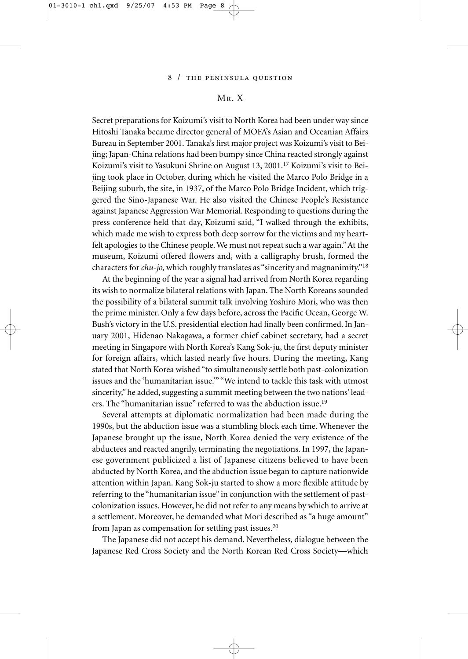#### M<sub>R</sub>.X

Secret preparations for Koizumi's visit to North Korea had been under way since Hitoshi Tanaka became director general of MOFA's Asian and Oceanian Affairs Bureau in September 2001. Tanaka's first major project was Koizumi's visit to Beijing; Japan-China relations had been bumpy since China reacted strongly against Koizumi's visit to Yasukuni Shrine on August 13, 2001.17 Koizumi's visit to Beijing took place in October, during which he visited the Marco Polo Bridge in a Beijing suburb, the site, in 1937, of the Marco Polo Bridge Incident, which triggered the Sino-Japanese War. He also visited the Chinese People's Resistance against Japanese Aggression War Memorial. Responding to questions during the press conference held that day, Koizumi said, "I walked through the exhibits, which made me wish to express both deep sorrow for the victims and my heartfelt apologies to the Chinese people. We must not repeat such a war again."At the museum, Koizumi offered flowers and, with a calligraphy brush, formed the characters for *chu-jo,* which roughly translates as "sincerity and magnanimity."18

At the beginning of the year a signal had arrived from North Korea regarding its wish to normalize bilateral relations with Japan. The North Koreans sounded the possibility of a bilateral summit talk involving Yoshiro Mori, who was then the prime minister. Only a few days before, across the Pacific Ocean, George W. Bush's victory in the U.S. presidential election had finally been confirmed. In January 2001, Hidenao Nakagawa, a former chief cabinet secretary, had a secret meeting in Singapore with North Korea's Kang Sok-ju, the first deputy minister for foreign affairs, which lasted nearly five hours. During the meeting, Kang stated that North Korea wished "to simultaneously settle both past-colonization issues and the 'humanitarian issue.'" "We intend to tackle this task with utmost sincerity," he added, suggesting a summit meeting between the two nations' leaders. The "humanitarian issue" referred to was the abduction issue.<sup>19</sup>

Several attempts at diplomatic normalization had been made during the 1990s, but the abduction issue was a stumbling block each time. Whenever the Japanese brought up the issue, North Korea denied the very existence of the abductees and reacted angrily, terminating the negotiations. In 1997, the Japanese government publicized a list of Japanese citizens believed to have been abducted by North Korea, and the abduction issue began to capture nationwide attention within Japan. Kang Sok-ju started to show a more flexible attitude by referring to the "humanitarian issue" in conjunction with the settlement of pastcolonization issues. However, he did not refer to any means by which to arrive at a settlement. Moreover, he demanded what Mori described as "a huge amount" from Japan as compensation for settling past issues.<sup>20</sup>

The Japanese did not accept his demand. Nevertheless, dialogue between the Japanese Red Cross Society and the North Korean Red Cross Society—which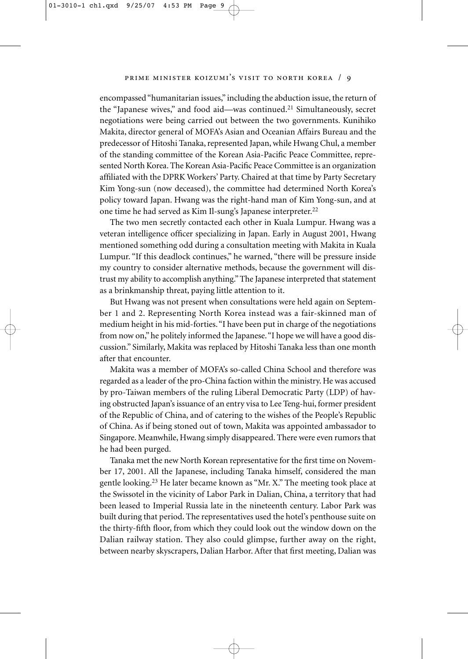encompassed "humanitarian issues," including the abduction issue, the return of the "Japanese wives," and food aid—was continued.21 Simultaneously, secret negotiations were being carried out between the two governments. Kunihiko Makita, director general of MOFA's Asian and Oceanian Affairs Bureau and the predecessor of Hitoshi Tanaka, represented Japan, while Hwang Chul, a member of the standing committee of the Korean Asia-Pacific Peace Committee, represented North Korea. The Korean Asia-Pacific Peace Committee is an organization affiliated with the DPRK Workers' Party. Chaired at that time by Party Secretary Kim Yong-sun (now deceased), the committee had determined North Korea's policy toward Japan. Hwang was the right-hand man of Kim Yong-sun, and at one time he had served as Kim Il-sung's Japanese interpreter.22

The two men secretly contacted each other in Kuala Lumpur. Hwang was a veteran intelligence officer specializing in Japan. Early in August 2001, Hwang mentioned something odd during a consultation meeting with Makita in Kuala Lumpur. "If this deadlock continues," he warned, "there will be pressure inside my country to consider alternative methods, because the government will distrust my ability to accomplish anything." The Japanese interpreted that statement as a brinkmanship threat, paying little attention to it.

But Hwang was not present when consultations were held again on September 1 and 2. Representing North Korea instead was a fair-skinned man of medium height in his mid-forties."I have been put in charge of the negotiations from now on," he politely informed the Japanese."I hope we will have a good discussion." Similarly, Makita was replaced by Hitoshi Tanaka less than one month after that encounter.

Makita was a member of MOFA's so-called China School and therefore was regarded as a leader of the pro-China faction within the ministry. He was accused by pro-Taiwan members of the ruling Liberal Democratic Party (LDP) of having obstructed Japan's issuance of an entry visa to Lee Teng-hui, former president of the Republic of China, and of catering to the wishes of the People's Republic of China. As if being stoned out of town, Makita was appointed ambassador to Singapore. Meanwhile, Hwang simply disappeared. There were even rumors that he had been purged.

Tanaka met the new North Korean representative for the first time on November 17, 2001. All the Japanese, including Tanaka himself, considered the man gentle looking.23 He later became known as "Mr. X." The meeting took place at the Swissotel in the vicinity of Labor Park in Dalian, China, a territory that had been leased to Imperial Russia late in the nineteenth century. Labor Park was built during that period. The representatives used the hotel's penthouse suite on the thirty-fifth floor, from which they could look out the window down on the Dalian railway station. They also could glimpse, further away on the right, between nearby skyscrapers, Dalian Harbor. After that first meeting, Dalian was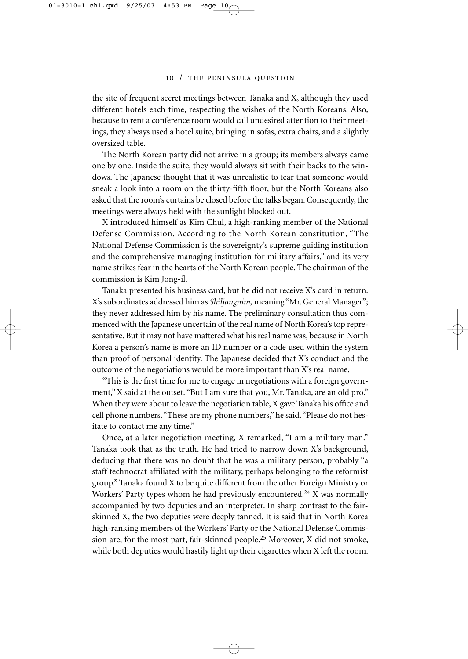the site of frequent secret meetings between Tanaka and X, although they used different hotels each time, respecting the wishes of the North Koreans. Also, because to rent a conference room would call undesired attention to their meetings, they always used a hotel suite, bringing in sofas, extra chairs, and a slightly oversized table.

The North Korean party did not arrive in a group; its members always came one by one. Inside the suite, they would always sit with their backs to the windows. The Japanese thought that it was unrealistic to fear that someone would sneak a look into a room on the thirty-fifth floor, but the North Koreans also asked that the room's curtains be closed before the talks began. Consequently, the meetings were always held with the sunlight blocked out.

X introduced himself as Kim Chul, a high-ranking member of the National Defense Commission. According to the North Korean constitution, "The National Defense Commission is the sovereignty's supreme guiding institution and the comprehensive managing institution for military affairs," and its very name strikes fear in the hearts of the North Korean people. The chairman of the commission is Kim Jong-il.

Tanaka presented his business card, but he did not receive X's card in return. X's subordinates addressed him as *Shiljangnim,* meaning "Mr. General Manager"; they never addressed him by his name. The preliminary consultation thus commenced with the Japanese uncertain of the real name of North Korea's top representative. But it may not have mattered what his real name was, because in North Korea a person's name is more an ID number or a code used within the system than proof of personal identity. The Japanese decided that X's conduct and the outcome of the negotiations would be more important than X's real name.

"This is the first time for me to engage in negotiations with a foreign government," X said at the outset. "But I am sure that you, Mr. Tanaka, are an old pro." When they were about to leave the negotiation table, X gave Tanaka his office and cell phone numbers."These are my phone numbers," he said."Please do not hesitate to contact me any time."

Once, at a later negotiation meeting, X remarked, "I am a military man." Tanaka took that as the truth. He had tried to narrow down X's background, deducing that there was no doubt that he was a military person, probably "a staff technocrat affiliated with the military, perhaps belonging to the reformist group." Tanaka found X to be quite different from the other Foreign Ministry or Workers' Party types whom he had previously encountered.<sup>24</sup> X was normally accompanied by two deputies and an interpreter. In sharp contrast to the fairskinned X, the two deputies were deeply tanned. It is said that in North Korea high-ranking members of the Workers' Party or the National Defense Commission are, for the most part, fair-skinned people.25 Moreover, X did not smoke, while both deputies would hastily light up their cigarettes when X left the room.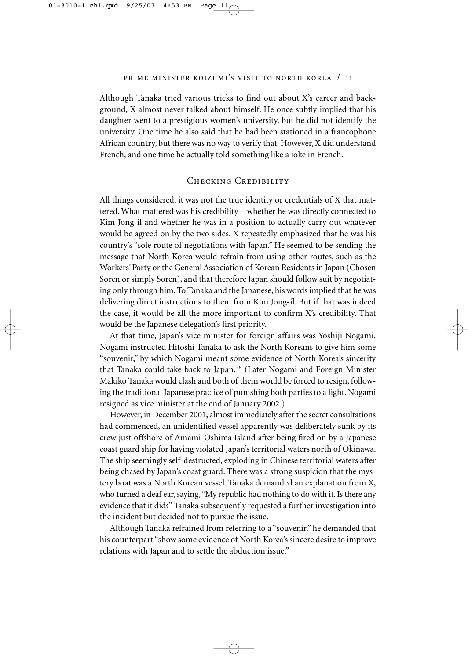Although Tanaka tried various tricks to find out about X's career and background, X almost never talked about himself. He once subtly implied that his daughter went to a prestigious women's university, but he did not identify the university. One time he also said that he had been stationed in a francophone African country, but there was no way to verify that. However, X did understand French, and one time he actually told something like a joke in French.

## Checking Credibility

All things considered, it was not the true identity or credentials of X that mattered. What mattered was his credibility—whether he was directly connected to Kim Jong-il and whether he was in a position to actually carry out whatever would be agreed on by the two sides. X repeatedly emphasized that he was his country's "sole route of negotiations with Japan." He seemed to be sending the message that North Korea would refrain from using other routes, such as the Workers' Party or the General Association of Korean Residents in Japan (Chosen Soren or simply Soren), and that therefore Japan should follow suit by negotiating only through him. To Tanaka and the Japanese, his words implied that he was delivering direct instructions to them from Kim Jong-il. But if that was indeed the case, it would be all the more important to confirm X's credibility. That would be the Japanese delegation's first priority.

At that time, Japan's vice minister for foreign affairs was Yoshiji Nogami. Nogami instructed Hitoshi Tanaka to ask the North Koreans to give him some "souvenir," by which Nogami meant some evidence of North Korea's sincerity that Tanaka could take back to Japan.26 (Later Nogami and Foreign Minister Makiko Tanaka would clash and both of them would be forced to resign, following the traditional Japanese practice of punishing both parties to a fight. Nogami resigned as vice minister at the end of January 2002.)

However, in December 2001, almost immediately after the secret consultations had commenced, an unidentified vessel apparently was deliberately sunk by its crew just offshore of Amami-Oshima Island after being fired on by a Japanese coast guard ship for having violated Japan's territorial waters north of Okinawa. The ship seemingly self-destructed, exploding in Chinese territorial waters after being chased by Japan's coast guard. There was a strong suspicion that the mystery boat was a North Korean vessel. Tanaka demanded an explanation from X, who turned a deaf ear, saying, "My republic had nothing to do with it. Is there any evidence that it did?" Tanaka subsequently requested a further investigation into the incident but decided not to pursue the issue.

Although Tanaka refrained from referring to a "souvenir," he demanded that his counterpart "show some evidence of North Korea's sincere desire to improve relations with Japan and to settle the abduction issue."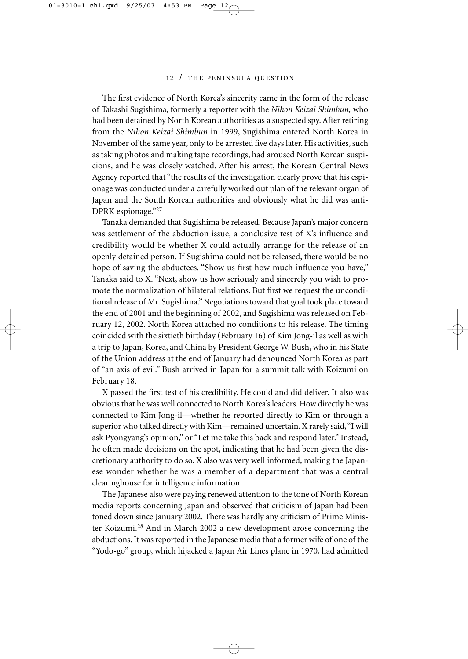The first evidence of North Korea's sincerity came in the form of the release of Takashi Sugishima, formerly a reporter with the *Nihon Keizai Shimbun,* who had been detained by North Korean authorities as a suspected spy. After retiring from the *Nihon Keizai Shimbun* in 1999, Sugishima entered North Korea in November of the same year, only to be arrested five days later. His activities, such as taking photos and making tape recordings, had aroused North Korean suspicions, and he was closely watched. After his arrest, the Korean Central News Agency reported that "the results of the investigation clearly prove that his espionage was conducted under a carefully worked out plan of the relevant organ of Japan and the South Korean authorities and obviously what he did was anti-DPRK espionage."27

Tanaka demanded that Sugishima be released. Because Japan's major concern was settlement of the abduction issue, a conclusive test of X's influence and credibility would be whether X could actually arrange for the release of an openly detained person. If Sugishima could not be released, there would be no hope of saving the abductees. "Show us first how much influence you have," Tanaka said to X. "Next, show us how seriously and sincerely you wish to promote the normalization of bilateral relations. But first we request the unconditional release of Mr. Sugishima." Negotiations toward that goal took place toward the end of 2001 and the beginning of 2002, and Sugishima was released on February 12, 2002. North Korea attached no conditions to his release. The timing coincided with the sixtieth birthday (February 16) of Kim Jong-il as well as with a trip to Japan, Korea, and China by President George W. Bush, who in his State of the Union address at the end of January had denounced North Korea as part of "an axis of evil." Bush arrived in Japan for a summit talk with Koizumi on February 18.

X passed the first test of his credibility. He could and did deliver. It also was obvious that he was well connected to North Korea's leaders. How directly he was connected to Kim Jong-il—whether he reported directly to Kim or through a superior who talked directly with Kim—remained uncertain. X rarely said, "I will ask Pyongyang's opinion," or "Let me take this back and respond later." Instead, he often made decisions on the spot, indicating that he had been given the discretionary authority to do so. X also was very well informed, making the Japanese wonder whether he was a member of a department that was a central clearinghouse for intelligence information.

The Japanese also were paying renewed attention to the tone of North Korean media reports concerning Japan and observed that criticism of Japan had been toned down since January 2002. There was hardly any criticism of Prime Minister Koizumi.28 And in March 2002 a new development arose concerning the abductions. It was reported in the Japanese media that a former wife of one of the "Yodo-go" group, which hijacked a Japan Air Lines plane in 1970, had admitted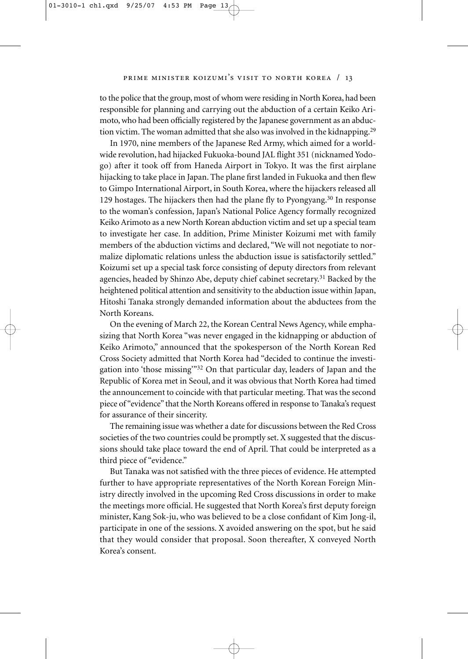to the police that the group, most of whom were residing in North Korea, had been responsible for planning and carrying out the abduction of a certain Keiko Arimoto, who had been officially registered by the Japanese government as an abduction victim. The woman admitted that she also was involved in the kidnapping.<sup>29</sup>

In 1970, nine members of the Japanese Red Army, which aimed for a worldwide revolution, had hijacked Fukuoka-bound JAL flight 351 (nicknamed Yodogo) after it took off from Haneda Airport in Tokyo. It was the first airplane hijacking to take place in Japan. The plane first landed in Fukuoka and then flew to Gimpo International Airport, in South Korea, where the hijackers released all 129 hostages. The hijackers then had the plane fly to Pyongyang.<sup>30</sup> In response to the woman's confession, Japan's National Police Agency formally recognized Keiko Arimoto as a new North Korean abduction victim and set up a special team to investigate her case. In addition, Prime Minister Koizumi met with family members of the abduction victims and declared, "We will not negotiate to normalize diplomatic relations unless the abduction issue is satisfactorily settled." Koizumi set up a special task force consisting of deputy directors from relevant agencies, headed by Shinzo Abe, deputy chief cabinet secretary.31 Backed by the heightened political attention and sensitivity to the abduction issue within Japan, Hitoshi Tanaka strongly demanded information about the abductees from the North Koreans.

On the evening of March 22, the Korean Central News Agency, while emphasizing that North Korea "was never engaged in the kidnapping or abduction of Keiko Arimoto," announced that the spokesperson of the North Korean Red Cross Society admitted that North Korea had "decided to continue the investigation into 'those missing'"32 On that particular day, leaders of Japan and the Republic of Korea met in Seoul, and it was obvious that North Korea had timed the announcement to coincide with that particular meeting. That was the second piece of "evidence" that the North Koreans offered in response to Tanaka's request for assurance of their sincerity.

The remaining issue was whether a date for discussions between the Red Cross societies of the two countries could be promptly set. X suggested that the discussions should take place toward the end of April. That could be interpreted as a third piece of "evidence."

But Tanaka was not satisfied with the three pieces of evidence. He attempted further to have appropriate representatives of the North Korean Foreign Ministry directly involved in the upcoming Red Cross discussions in order to make the meetings more official. He suggested that North Korea's first deputy foreign minister, Kang Sok-ju, who was believed to be a close confidant of Kim Jong-il, participate in one of the sessions. X avoided answering on the spot, but he said that they would consider that proposal. Soon thereafter, X conveyed North Korea's consent.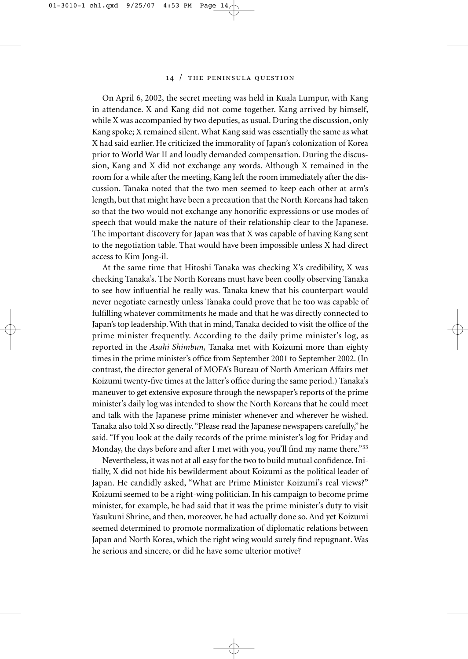On April 6, 2002, the secret meeting was held in Kuala Lumpur, with Kang in attendance. X and Kang did not come together. Kang arrived by himself, while X was accompanied by two deputies, as usual. During the discussion, only Kang spoke; X remained silent. What Kang said was essentially the same as what X had said earlier. He criticized the immorality of Japan's colonization of Korea prior to World War II and loudly demanded compensation. During the discussion, Kang and X did not exchange any words. Although X remained in the room for a while after the meeting, Kang left the room immediately after the discussion. Tanaka noted that the two men seemed to keep each other at arm's length, but that might have been a precaution that the North Koreans had taken so that the two would not exchange any honorific expressions or use modes of speech that would make the nature of their relationship clear to the Japanese. The important discovery for Japan was that X was capable of having Kang sent to the negotiation table. That would have been impossible unless X had direct access to Kim Jong-il.

At the same time that Hitoshi Tanaka was checking X's credibility, X was checking Tanaka's. The North Koreans must have been coolly observing Tanaka to see how influential he really was. Tanaka knew that his counterpart would never negotiate earnestly unless Tanaka could prove that he too was capable of fulfilling whatever commitments he made and that he was directly connected to Japan's top leadership. With that in mind, Tanaka decided to visit the office of the prime minister frequently. According to the daily prime minister's log, as reported in the *Asahi Shimbun,* Tanaka met with Koizumi more than eighty times in the prime minister's office from September 2001 to September 2002. (In contrast, the director general of MOFA's Bureau of North American Affairs met Koizumi twenty-five times at the latter's office during the same period.) Tanaka's maneuver to get extensive exposure through the newspaper's reports of the prime minister's daily log was intended to show the North Koreans that he could meet and talk with the Japanese prime minister whenever and wherever he wished. Tanaka also told X so directly."Please read the Japanese newspapers carefully," he said. "If you look at the daily records of the prime minister's log for Friday and Monday, the days before and after I met with you, you'll find my name there."<sup>33</sup>

Nevertheless, it was not at all easy for the two to build mutual confidence. Initially, X did not hide his bewilderment about Koizumi as the political leader of Japan. He candidly asked, "What are Prime Minister Koizumi's real views?" Koizumi seemed to be a right-wing politician. In his campaign to become prime minister, for example, he had said that it was the prime minister's duty to visit Yasukuni Shrine, and then, moreover, he had actually done so. And yet Koizumi seemed determined to promote normalization of diplomatic relations between Japan and North Korea, which the right wing would surely find repugnant. Was he serious and sincere, or did he have some ulterior motive?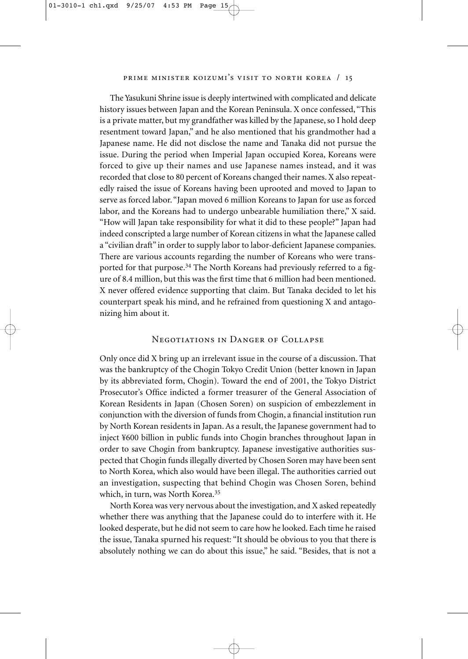The Yasukuni Shrine issue is deeply intertwined with complicated and delicate history issues between Japan and the Korean Peninsula. X once confessed, "This is a private matter, but my grandfather was killed by the Japanese, so I hold deep resentment toward Japan," and he also mentioned that his grandmother had a Japanese name. He did not disclose the name and Tanaka did not pursue the issue. During the period when Imperial Japan occupied Korea, Koreans were forced to give up their names and use Japanese names instead, and it was recorded that close to 80 percent of Koreans changed their names. X also repeatedly raised the issue of Koreans having been uprooted and moved to Japan to serve as forced labor. "Japan moved 6 million Koreans to Japan for use as forced labor, and the Koreans had to undergo unbearable humiliation there," X said. "How will Japan take responsibility for what it did to these people?" Japan had indeed conscripted a large number of Korean citizens in what the Japanese called a "civilian draft" in order to supply labor to labor-deficient Japanese companies. There are various accounts regarding the number of Koreans who were transported for that purpose.<sup>34</sup> The North Koreans had previously referred to a figure of 8.4 million, but this was the first time that 6 million had been mentioned. X never offered evidence supporting that claim. But Tanaka decided to let his counterpart speak his mind, and he refrained from questioning X and antagonizing him about it.

#### Negotiations in Danger of Collapse

Only once did X bring up an irrelevant issue in the course of a discussion. That was the bankruptcy of the Chogin Tokyo Credit Union (better known in Japan by its abbreviated form, Chogin). Toward the end of 2001, the Tokyo District Prosecutor's Office indicted a former treasurer of the General Association of Korean Residents in Japan (Chosen Soren) on suspicion of embezzlement in conjunction with the diversion of funds from Chogin, a financial institution run by North Korean residents in Japan. As a result, the Japanese government had to inject ¥600 billion in public funds into Chogin branches throughout Japan in order to save Chogin from bankruptcy. Japanese investigative authorities suspected that Chogin funds illegally diverted by Chosen Soren may have been sent to North Korea, which also would have been illegal. The authorities carried out an investigation, suspecting that behind Chogin was Chosen Soren, behind which, in turn, was North Korea.<sup>35</sup>

North Korea was very nervous about the investigation, and X asked repeatedly whether there was anything that the Japanese could do to interfere with it. He looked desperate, but he did not seem to care how he looked. Each time he raised the issue, Tanaka spurned his request: "It should be obvious to you that there is absolutely nothing we can do about this issue," he said. "Besides, that is not a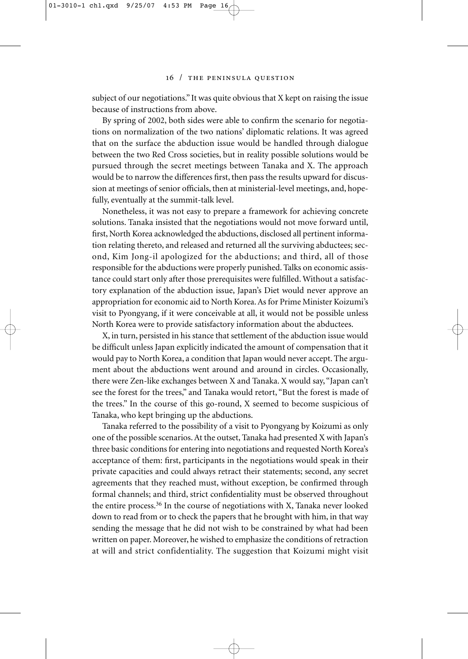subject of our negotiations." It was quite obvious that X kept on raising the issue because of instructions from above.

By spring of 2002, both sides were able to confirm the scenario for negotiations on normalization of the two nations' diplomatic relations. It was agreed that on the surface the abduction issue would be handled through dialogue between the two Red Cross societies, but in reality possible solutions would be pursued through the secret meetings between Tanaka and X. The approach would be to narrow the differences first, then pass the results upward for discussion at meetings of senior officials, then at ministerial-level meetings, and, hopefully, eventually at the summit-talk level.

Nonetheless, it was not easy to prepare a framework for achieving concrete solutions. Tanaka insisted that the negotiations would not move forward until, first, North Korea acknowledged the abductions, disclosed all pertinent information relating thereto, and released and returned all the surviving abductees; second, Kim Jong-il apologized for the abductions; and third, all of those responsible for the abductions were properly punished. Talks on economic assistance could start only after those prerequisites were fulfilled. Without a satisfactory explanation of the abduction issue, Japan's Diet would never approve an appropriation for economic aid to North Korea. As for Prime Minister Koizumi's visit to Pyongyang, if it were conceivable at all, it would not be possible unless North Korea were to provide satisfactory information about the abductees.

X, in turn, persisted in his stance that settlement of the abduction issue would be difficult unless Japan explicitly indicated the amount of compensation that it would pay to North Korea, a condition that Japan would never accept. The argument about the abductions went around and around in circles. Occasionally, there were Zen-like exchanges between X and Tanaka. X would say, "Japan can't see the forest for the trees," and Tanaka would retort, "But the forest is made of the trees." In the course of this go-round, X seemed to become suspicious of Tanaka, who kept bringing up the abductions.

Tanaka referred to the possibility of a visit to Pyongyang by Koizumi as only one of the possible scenarios. At the outset, Tanaka had presented X with Japan's three basic conditions for entering into negotiations and requested North Korea's acceptance of them: first, participants in the negotiations would speak in their private capacities and could always retract their statements; second, any secret agreements that they reached must, without exception, be confirmed through formal channels; and third, strict confidentiality must be observed throughout the entire process.36 In the course of negotiations with X, Tanaka never looked down to read from or to check the papers that he brought with him, in that way sending the message that he did not wish to be constrained by what had been written on paper. Moreover, he wished to emphasize the conditions of retraction at will and strict confidentiality. The suggestion that Koizumi might visit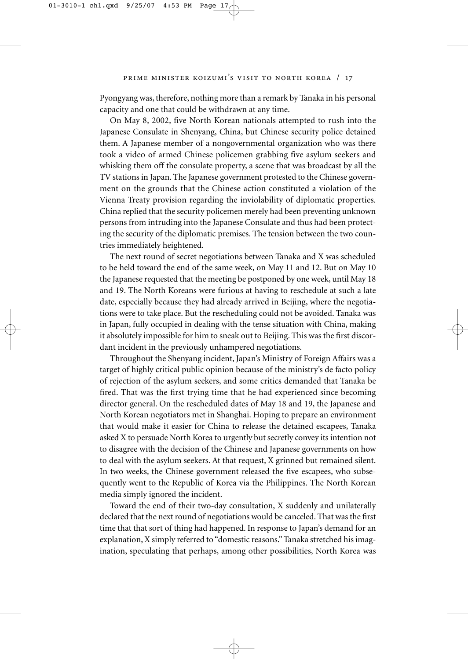Pyongyang was, therefore, nothing more than a remark by Tanaka in his personal capacity and one that could be withdrawn at any time.

On May 8, 2002, five North Korean nationals attempted to rush into the Japanese Consulate in Shenyang, China, but Chinese security police detained them. A Japanese member of a nongovernmental organization who was there took a video of armed Chinese policemen grabbing five asylum seekers and whisking them off the consulate property, a scene that was broadcast by all the TV stations in Japan. The Japanese government protested to the Chinese government on the grounds that the Chinese action constituted a violation of the Vienna Treaty provision regarding the inviolability of diplomatic properties. China replied that the security policemen merely had been preventing unknown persons from intruding into the Japanese Consulate and thus had been protecting the security of the diplomatic premises. The tension between the two countries immediately heightened.

The next round of secret negotiations between Tanaka and X was scheduled to be held toward the end of the same week, on May 11 and 12. But on May 10 the Japanese requested that the meeting be postponed by one week, until May 18 and 19. The North Koreans were furious at having to reschedule at such a late date, especially because they had already arrived in Beijing, where the negotiations were to take place. But the rescheduling could not be avoided. Tanaka was in Japan, fully occupied in dealing with the tense situation with China, making it absolutely impossible for him to sneak out to Beijing. This was the first discordant incident in the previously unhampered negotiations.

Throughout the Shenyang incident, Japan's Ministry of Foreign Affairs was a target of highly critical public opinion because of the ministry's de facto policy of rejection of the asylum seekers, and some critics demanded that Tanaka be fired. That was the first trying time that he had experienced since becoming director general. On the rescheduled dates of May 18 and 19, the Japanese and North Korean negotiators met in Shanghai. Hoping to prepare an environment that would make it easier for China to release the detained escapees, Tanaka asked X to persuade North Korea to urgently but secretly convey its intention not to disagree with the decision of the Chinese and Japanese governments on how to deal with the asylum seekers. At that request, X grinned but remained silent. In two weeks, the Chinese government released the five escapees, who subsequently went to the Republic of Korea via the Philippines. The North Korean media simply ignored the incident.

Toward the end of their two-day consultation, X suddenly and unilaterally declared that the next round of negotiations would be canceled. That was the first time that that sort of thing had happened. In response to Japan's demand for an explanation, X simply referred to "domestic reasons." Tanaka stretched his imagination, speculating that perhaps, among other possibilities, North Korea was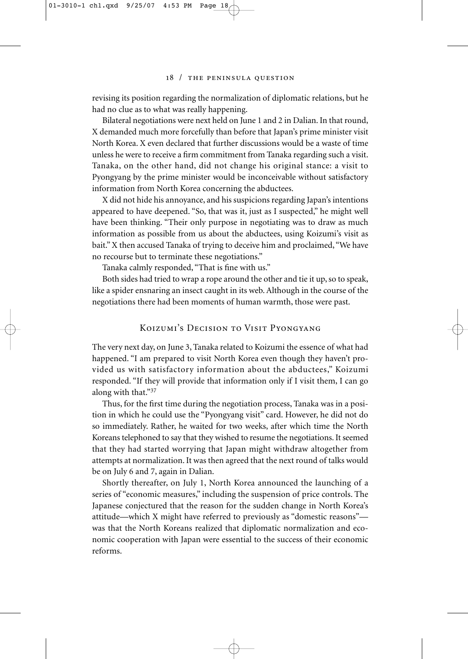revising its position regarding the normalization of diplomatic relations, but he had no clue as to what was really happening.

Bilateral negotiations were next held on June 1 and 2 in Dalian. In that round, X demanded much more forcefully than before that Japan's prime minister visit North Korea. X even declared that further discussions would be a waste of time unless he were to receive a firm commitment from Tanaka regarding such a visit. Tanaka, on the other hand, did not change his original stance: a visit to Pyongyang by the prime minister would be inconceivable without satisfactory information from North Korea concerning the abductees.

X did not hide his annoyance, and his suspicions regarding Japan's intentions appeared to have deepened. "So, that was it, just as I suspected," he might well have been thinking. "Their only purpose in negotiating was to draw as much information as possible from us about the abductees, using Koizumi's visit as bait." X then accused Tanaka of trying to deceive him and proclaimed, "We have no recourse but to terminate these negotiations."

Tanaka calmly responded, "That is fine with us."

Both sides had tried to wrap a rope around the other and tie it up, so to speak, like a spider ensnaring an insect caught in its web. Although in the course of the negotiations there had been moments of human warmth, those were past.

#### Koizumi's Decision to Visit Pyongyang

The very next day, on June 3, Tanaka related to Koizumi the essence of what had happened. "I am prepared to visit North Korea even though they haven't provided us with satisfactory information about the abductees," Koizumi responded. "If they will provide that information only if I visit them, I can go along with that."37

Thus, for the first time during the negotiation process, Tanaka was in a position in which he could use the "Pyongyang visit" card. However, he did not do so immediately. Rather, he waited for two weeks, after which time the North Koreans telephoned to say that they wished to resume the negotiations. It seemed that they had started worrying that Japan might withdraw altogether from attempts at normalization. It was then agreed that the next round of talks would be on July 6 and 7, again in Dalian.

Shortly thereafter, on July 1, North Korea announced the launching of a series of "economic measures," including the suspension of price controls. The Japanese conjectured that the reason for the sudden change in North Korea's attitude—which X might have referred to previously as "domestic reasons" was that the North Koreans realized that diplomatic normalization and economic cooperation with Japan were essential to the success of their economic reforms.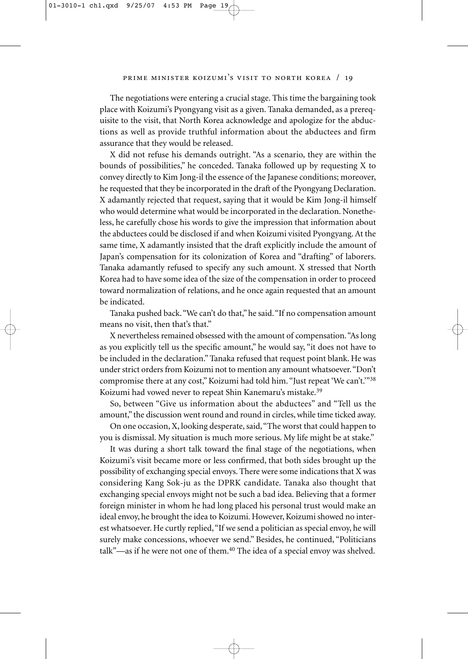The negotiations were entering a crucial stage. This time the bargaining took place with Koizumi's Pyongyang visit as a given. Tanaka demanded, as a prerequisite to the visit, that North Korea acknowledge and apologize for the abductions as well as provide truthful information about the abductees and firm assurance that they would be released.

X did not refuse his demands outright. "As a scenario, they are within the bounds of possibilities," he conceded. Tanaka followed up by requesting X to convey directly to Kim Jong-il the essence of the Japanese conditions; moreover, he requested that they be incorporated in the draft of the Pyongyang Declaration. X adamantly rejected that request, saying that it would be Kim Jong-il himself who would determine what would be incorporated in the declaration. Nonetheless, he carefully chose his words to give the impression that information about the abductees could be disclosed if and when Koizumi visited Pyongyang. At the same time, X adamantly insisted that the draft explicitly include the amount of Japan's compensation for its colonization of Korea and "drafting" of laborers. Tanaka adamantly refused to specify any such amount. X stressed that North Korea had to have some idea of the size of the compensation in order to proceed toward normalization of relations, and he once again requested that an amount be indicated.

Tanaka pushed back."We can't do that," he said."If no compensation amount means no visit, then that's that."

X nevertheless remained obsessed with the amount of compensation."As long as you explicitly tell us the specific amount," he would say, "it does not have to be included in the declaration." Tanaka refused that request point blank. He was under strict orders from Koizumi not to mention any amount whatsoever."Don't compromise there at any cost," Koizumi had told him. "Just repeat 'We can't.'"38 Koizumi had vowed never to repeat Shin Kanemaru's mistake.<sup>39</sup>

So, between "Give us information about the abductees" and "Tell us the amount," the discussion went round and round in circles, while time ticked away.

On one occasion, X, looking desperate, said,"The worst that could happen to you is dismissal. My situation is much more serious. My life might be at stake."

It was during a short talk toward the final stage of the negotiations, when Koizumi's visit became more or less confirmed, that both sides brought up the possibility of exchanging special envoys. There were some indications that X was considering Kang Sok-ju as the DPRK candidate. Tanaka also thought that exchanging special envoys might not be such a bad idea. Believing that a former foreign minister in whom he had long placed his personal trust would make an ideal envoy, he brought the idea to Koizumi. However, Koizumi showed no interest whatsoever. He curtly replied, "If we send a politician as special envoy, he will surely make concessions, whoever we send." Besides, he continued, "Politicians talk"—as if he were not one of them.<sup>40</sup> The idea of a special envoy was shelved.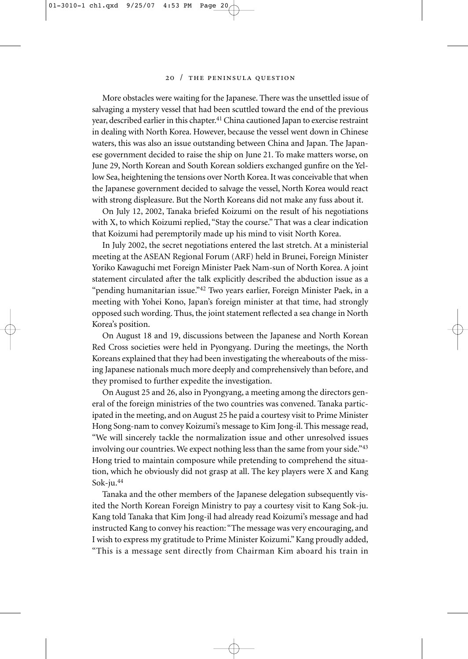More obstacles were waiting for the Japanese. There was the unsettled issue of salvaging a mystery vessel that had been scuttled toward the end of the previous year, described earlier in this chapter.<sup>41</sup> China cautioned Japan to exercise restraint in dealing with North Korea. However, because the vessel went down in Chinese waters, this was also an issue outstanding between China and Japan. The Japanese government decided to raise the ship on June 21. To make matters worse, on June 29, North Korean and South Korean soldiers exchanged gunfire on the Yellow Sea, heightening the tensions over North Korea. It was conceivable that when the Japanese government decided to salvage the vessel, North Korea would react with strong displeasure. But the North Koreans did not make any fuss about it.

On July 12, 2002, Tanaka briefed Koizumi on the result of his negotiations with X, to which Koizumi replied, "Stay the course." That was a clear indication that Koizumi had peremptorily made up his mind to visit North Korea.

In July 2002, the secret negotiations entered the last stretch. At a ministerial meeting at the ASEAN Regional Forum (ARF) held in Brunei, Foreign Minister Yoriko Kawaguchi met Foreign Minister Paek Nam-sun of North Korea. A joint statement circulated after the talk explicitly described the abduction issue as a "pending humanitarian issue."42 Two years earlier, Foreign Minister Paek, in a meeting with Yohei Kono, Japan's foreign minister at that time, had strongly opposed such wording. Thus, the joint statement reflected a sea change in North Korea's position.

On August 18 and 19, discussions between the Japanese and North Korean Red Cross societies were held in Pyongyang. During the meetings, the North Koreans explained that they had been investigating the whereabouts of the missing Japanese nationals much more deeply and comprehensively than before, and they promised to further expedite the investigation.

On August 25 and 26, also in Pyongyang, a meeting among the directors general of the foreign ministries of the two countries was convened. Tanaka participated in the meeting, and on August 25 he paid a courtesy visit to Prime Minister Hong Song-nam to convey Koizumi's message to Kim Jong-il. This message read, "We will sincerely tackle the normalization issue and other unresolved issues involving our countries. We expect nothing less than the same from your side."<sup>43</sup> Hong tried to maintain composure while pretending to comprehend the situation, which he obviously did not grasp at all. The key players were X and Kang Sok-ju.44

Tanaka and the other members of the Japanese delegation subsequently visited the North Korean Foreign Ministry to pay a courtesy visit to Kang Sok-ju. Kang told Tanaka that Kim Jong-il had already read Koizumi's message and had instructed Kang to convey his reaction: "The message was very encouraging, and I wish to express my gratitude to Prime Minister Koizumi." Kang proudly added, "This is a message sent directly from Chairman Kim aboard his train in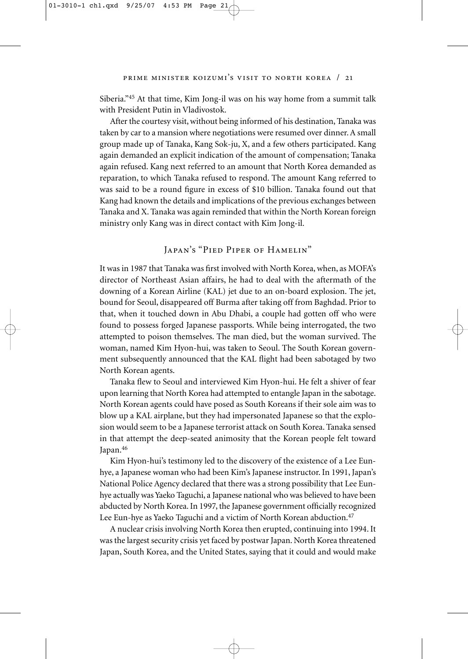Siberia."45 At that time, Kim Jong-il was on his way home from a summit talk with President Putin in Vladivostok.

After the courtesy visit, without being informed of his destination, Tanaka was taken by car to a mansion where negotiations were resumed over dinner. A small group made up of Tanaka, Kang Sok-ju, X, and a few others participated. Kang again demanded an explicit indication of the amount of compensation; Tanaka again refused. Kang next referred to an amount that North Korea demanded as reparation, to which Tanaka refused to respond. The amount Kang referred to was said to be a round figure in excess of \$10 billion. Tanaka found out that Kang had known the details and implications of the previous exchanges between Tanaka and X. Tanaka was again reminded that within the North Korean foreign ministry only Kang was in direct contact with Kim Jong-il.

## Japan's "Pied Piper of Hamelin"

It was in 1987 that Tanaka was first involved with North Korea, when, as MOFA's director of Northeast Asian affairs, he had to deal with the aftermath of the downing of a Korean Airline (KAL) jet due to an on-board explosion. The jet, bound for Seoul, disappeared off Burma after taking off from Baghdad. Prior to that, when it touched down in Abu Dhabi, a couple had gotten off who were found to possess forged Japanese passports. While being interrogated, the two attempted to poison themselves. The man died, but the woman survived. The woman, named Kim Hyon-hui, was taken to Seoul. The South Korean government subsequently announced that the KAL flight had been sabotaged by two North Korean agents.

Tanaka flew to Seoul and interviewed Kim Hyon-hui. He felt a shiver of fear upon learning that North Korea had attempted to entangle Japan in the sabotage. North Korean agents could have posed as South Koreans if their sole aim was to blow up a KAL airplane, but they had impersonated Japanese so that the explosion would seem to be a Japanese terrorist attack on South Korea. Tanaka sensed in that attempt the deep-seated animosity that the Korean people felt toward Japan.46

Kim Hyon-hui's testimony led to the discovery of the existence of a Lee Eunhye, a Japanese woman who had been Kim's Japanese instructor. In 1991, Japan's National Police Agency declared that there was a strong possibility that Lee Eunhye actually was Yaeko Taguchi, a Japanese national who was believed to have been abducted by North Korea. In 1997, the Japanese government officially recognized Lee Eun-hye as Yaeko Taguchi and a victim of North Korean abduction.<sup>47</sup>

A nuclear crisis involving North Korea then erupted, continuing into 1994. It was the largest security crisis yet faced by postwar Japan. North Korea threatened Japan, South Korea, and the United States, saying that it could and would make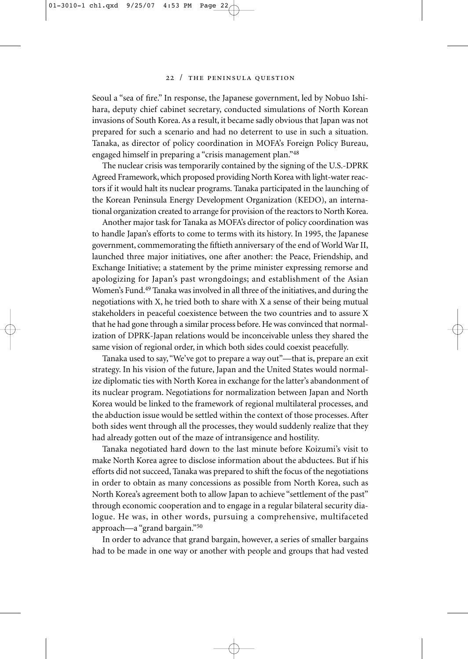Seoul a "sea of fire." In response, the Japanese government, led by Nobuo Ishihara, deputy chief cabinet secretary, conducted simulations of North Korean invasions of South Korea. As a result, it became sadly obvious that Japan was not prepared for such a scenario and had no deterrent to use in such a situation. Tanaka, as director of policy coordination in MOFA's Foreign Policy Bureau, engaged himself in preparing a "crisis management plan."48

The nuclear crisis was temporarily contained by the signing of the U.S.-DPRK Agreed Framework, which proposed providing North Korea with light-water reactors if it would halt its nuclear programs. Tanaka participated in the launching of the Korean Peninsula Energy Development Organization (KEDO), an international organization created to arrange for provision of the reactors to North Korea.

Another major task for Tanaka as MOFA's director of policy coordination was to handle Japan's efforts to come to terms with its history. In 1995, the Japanese government, commemorating the fiftieth anniversary of the end of World War II, launched three major initiatives, one after another: the Peace, Friendship, and Exchange Initiative; a statement by the prime minister expressing remorse and apologizing for Japan's past wrongdoings; and establishment of the Asian Women's Fund.49 Tanaka was involved in all three of the initiatives, and during the negotiations with X, he tried both to share with X a sense of their being mutual stakeholders in peaceful coexistence between the two countries and to assure X that he had gone through a similar process before. He was convinced that normalization of DPRK-Japan relations would be inconceivable unless they shared the same vision of regional order, in which both sides could coexist peacefully.

Tanaka used to say, "We've got to prepare a way out"—that is, prepare an exit strategy. In his vision of the future, Japan and the United States would normalize diplomatic ties with North Korea in exchange for the latter's abandonment of its nuclear program. Negotiations for normalization between Japan and North Korea would be linked to the framework of regional multilateral processes, and the abduction issue would be settled within the context of those processes. After both sides went through all the processes, they would suddenly realize that they had already gotten out of the maze of intransigence and hostility.

Tanaka negotiated hard down to the last minute before Koizumi's visit to make North Korea agree to disclose information about the abductees. But if his efforts did not succeed, Tanaka was prepared to shift the focus of the negotiations in order to obtain as many concessions as possible from North Korea, such as North Korea's agreement both to allow Japan to achieve "settlement of the past" through economic cooperation and to engage in a regular bilateral security dialogue. He was, in other words, pursuing a comprehensive, multifaceted approach—a "grand bargain."50

In order to advance that grand bargain, however, a series of smaller bargains had to be made in one way or another with people and groups that had vested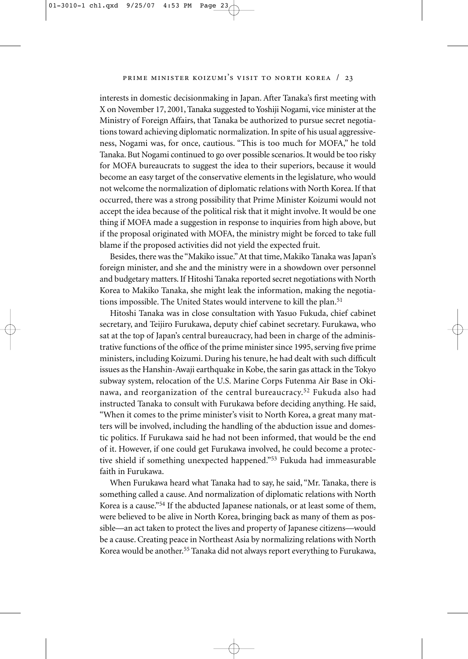interests in domestic decisionmaking in Japan. After Tanaka's first meeting with X on November 17, 2001, Tanaka suggested to Yoshiji Nogami, vice minister at the Ministry of Foreign Affairs, that Tanaka be authorized to pursue secret negotiations toward achieving diplomatic normalization. In spite of his usual aggressiveness, Nogami was, for once, cautious. "This is too much for MOFA," he told Tanaka. But Nogami continued to go over possible scenarios. It would be too risky for MOFA bureaucrats to suggest the idea to their superiors, because it would become an easy target of the conservative elements in the legislature, who would not welcome the normalization of diplomatic relations with North Korea. If that occurred, there was a strong possibility that Prime Minister Koizumi would not accept the idea because of the political risk that it might involve. It would be one thing if MOFA made a suggestion in response to inquiries from high above, but if the proposal originated with MOFA, the ministry might be forced to take full blame if the proposed activities did not yield the expected fruit.

Besides, there was the "Makiko issue."At that time, Makiko Tanaka was Japan's foreign minister, and she and the ministry were in a showdown over personnel and budgetary matters. If Hitoshi Tanaka reported secret negotiations with North Korea to Makiko Tanaka, she might leak the information, making the negotiations impossible. The United States would intervene to kill the plan.<sup>51</sup>

Hitoshi Tanaka was in close consultation with Yasuo Fukuda, chief cabinet secretary, and Teijiro Furukawa, deputy chief cabinet secretary. Furukawa, who sat at the top of Japan's central bureaucracy, had been in charge of the administrative functions of the office of the prime minister since 1995, serving five prime ministers, including Koizumi. During his tenure, he had dealt with such difficult issues as the Hanshin-Awaji earthquake in Kobe, the sarin gas attack in the Tokyo subway system, relocation of the U.S. Marine Corps Futenma Air Base in Okinawa, and reorganization of the central bureaucracy.<sup>52</sup> Fukuda also had instructed Tanaka to consult with Furukawa before deciding anything. He said, "When it comes to the prime minister's visit to North Korea, a great many matters will be involved, including the handling of the abduction issue and domestic politics. If Furukawa said he had not been informed, that would be the end of it. However, if one could get Furukawa involved, he could become a protective shield if something unexpected happened."53 Fukuda had immeasurable faith in Furukawa.

When Furukawa heard what Tanaka had to say, he said, "Mr. Tanaka, there is something called a cause. And normalization of diplomatic relations with North Korea is a cause."54 If the abducted Japanese nationals, or at least some of them, were believed to be alive in North Korea, bringing back as many of them as possible—an act taken to protect the lives and property of Japanese citizens—would be a cause. Creating peace in Northeast Asia by normalizing relations with North Korea would be another.55 Tanaka did not always report everything to Furukawa,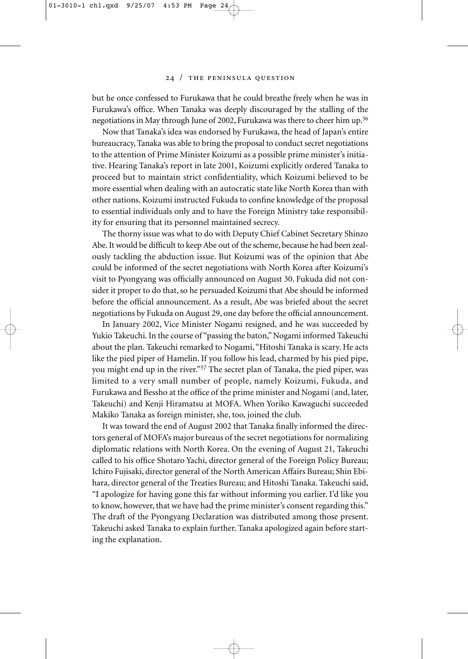but he once confessed to Furukawa that he could breathe freely when he was in Furukawa's office. When Tanaka was deeply discouraged by the stalling of the negotiations in May through June of 2002, Furukawa was there to cheer him up.56

Now that Tanaka's idea was endorsed by Furukawa, the head of Japan's entire bureaucracy, Tanaka was able to bring the proposal to conduct secret negotiations to the attention of Prime Minister Koizumi as a possible prime minister's initiative. Hearing Tanaka's report in late 2001, Koizumi explicitly ordered Tanaka to proceed but to maintain strict confidentiality, which Koizumi believed to be more essential when dealing with an autocratic state like North Korea than with other nations. Koizumi instructed Fukuda to confine knowledge of the proposal to essential individuals only and to have the Foreign Ministry take responsibility for ensuring that its personnel maintained secrecy.

The thorny issue was what to do with Deputy Chief Cabinet Secretary Shinzo Abe. It would be difficult to keep Abe out of the scheme, because he had been zealously tackling the abduction issue. But Koizumi was of the opinion that Abe could be informed of the secret negotiations with North Korea after Koizumi's visit to Pyongyang was officially announced on August 30. Fukuda did not consider it proper to do that, so he persuaded Koizumi that Abe should be informed before the official announcement. As a result, Abe was briefed about the secret negotiations by Fukuda on August 29, one day before the official announcement.

In January 2002, Vice Minister Nogami resigned, and he was succeeded by Yukio Takeuchi. In the course of "passing the baton," Nogami informed Takeuchi about the plan. Takeuchi remarked to Nogami, "Hitoshi Tanaka is scary. He acts like the pied piper of Hamelin. If you follow his lead, charmed by his pied pipe, you might end up in the river."57 The secret plan of Tanaka, the pied piper, was limited to a very small number of people, namely Koizumi, Fukuda, and Furukawa and Bessho at the office of the prime minister and Nogami (and, later, Takeuchi) and Kenji Hiramatsu at MOFA. When Yoriko Kawaguchi succeeded Makiko Tanaka as foreign minister, she, too, joined the club.

It was toward the end of August 2002 that Tanaka finally informed the directors general of MOFA's major bureaus of the secret negotiations for normalizing diplomatic relations with North Korea. On the evening of August 21, Takeuchi called to his office Shotaro Yachi, director general of the Foreign Policy Bureau; Ichiro Fujisaki, director general of the North American Affairs Bureau; Shin Ebihara, director general of the Treaties Bureau; and Hitoshi Tanaka. Takeuchi said, "I apologize for having gone this far without informing you earlier. I'd like you to know, however, that we have had the prime minister's consent regarding this." The draft of the Pyongyang Declaration was distributed among those present. Takeuchi asked Tanaka to explain further. Tanaka apologized again before starting the explanation.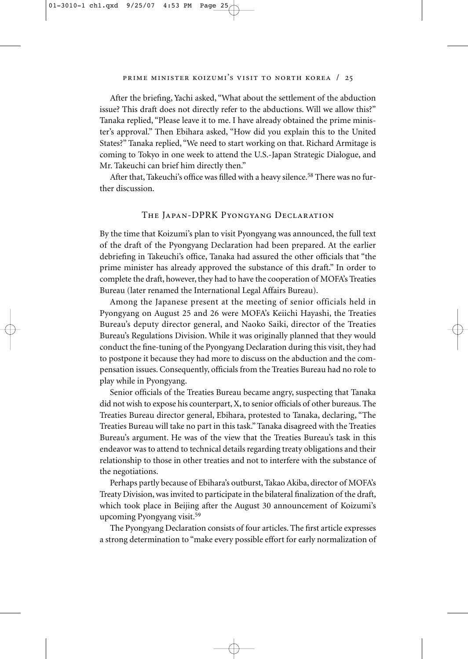After the briefing, Yachi asked, "What about the settlement of the abduction issue? This draft does not directly refer to the abductions. Will we allow this?" Tanaka replied, "Please leave it to me. I have already obtained the prime minister's approval." Then Ebihara asked, "How did you explain this to the United States?" Tanaka replied, "We need to start working on that. Richard Armitage is coming to Tokyo in one week to attend the U.S.-Japan Strategic Dialogue, and Mr. Takeuchi can brief him directly then."

After that, Takeuchi's office was filled with a heavy silence.<sup>58</sup> There was no further discussion.

#### The Japan-DPRK Pyongyang Declaration

By the time that Koizumi's plan to visit Pyongyang was announced, the full text of the draft of the Pyongyang Declaration had been prepared. At the earlier debriefing in Takeuchi's office, Tanaka had assured the other officials that "the prime minister has already approved the substance of this draft." In order to complete the draft, however, they had to have the cooperation of MOFA's Treaties Bureau (later renamed the International Legal Affairs Bureau).

Among the Japanese present at the meeting of senior officials held in Pyongyang on August 25 and 26 were MOFA's Keiichi Hayashi, the Treaties Bureau's deputy director general, and Naoko Saiki, director of the Treaties Bureau's Regulations Division. While it was originally planned that they would conduct the fine-tuning of the Pyongyang Declaration during this visit, they had to postpone it because they had more to discuss on the abduction and the compensation issues. Consequently, officials from the Treaties Bureau had no role to play while in Pyongyang.

Senior officials of the Treaties Bureau became angry, suspecting that Tanaka did not wish to expose his counterpart, X, to senior officials of other bureaus. The Treaties Bureau director general, Ebihara, protested to Tanaka, declaring, "The Treaties Bureau will take no part in this task." Tanaka disagreed with the Treaties Bureau's argument. He was of the view that the Treaties Bureau's task in this endeavor was to attend to technical details regarding treaty obligations and their relationship to those in other treaties and not to interfere with the substance of the negotiations.

Perhaps partly because of Ebihara's outburst, Takao Akiba, director of MOFA's Treaty Division, was invited to participate in the bilateral finalization of the draft, which took place in Beijing after the August 30 announcement of Koizumi's upcoming Pyongyang visit.59

The Pyongyang Declaration consists of four articles. The first article expresses a strong determination to "make every possible effort for early normalization of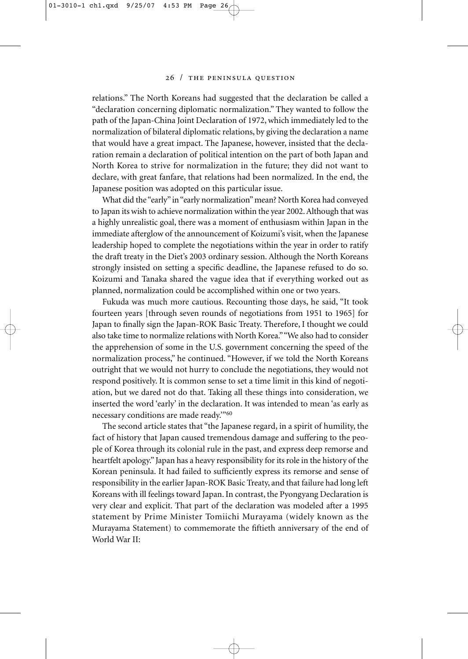relations." The North Koreans had suggested that the declaration be called a "declaration concerning diplomatic normalization." They wanted to follow the path of the Japan-China Joint Declaration of 1972, which immediately led to the normalization of bilateral diplomatic relations, by giving the declaration a name that would have a great impact. The Japanese, however, insisted that the declaration remain a declaration of political intention on the part of both Japan and North Korea to strive for normalization in the future; they did not want to declare, with great fanfare, that relations had been normalized. In the end, the Japanese position was adopted on this particular issue.

What did the "early" in "early normalization" mean? North Korea had conveyed to Japan its wish to achieve normalization within the year 2002. Although that was a highly unrealistic goal, there was a moment of enthusiasm within Japan in the immediate afterglow of the announcement of Koizumi's visit, when the Japanese leadership hoped to complete the negotiations within the year in order to ratify the draft treaty in the Diet's 2003 ordinary session. Although the North Koreans strongly insisted on setting a specific deadline, the Japanese refused to do so. Koizumi and Tanaka shared the vague idea that if everything worked out as planned, normalization could be accomplished within one or two years.

Fukuda was much more cautious. Recounting those days, he said, "It took fourteen years [through seven rounds of negotiations from 1951 to 1965] for Japan to finally sign the Japan-ROK Basic Treaty. Therefore, I thought we could also take time to normalize relations with North Korea.""We also had to consider the apprehension of some in the U.S. government concerning the speed of the normalization process," he continued. "However, if we told the North Koreans outright that we would not hurry to conclude the negotiations, they would not respond positively. It is common sense to set a time limit in this kind of negotiation, but we dared not do that. Taking all these things into consideration, we inserted the word 'early' in the declaration. It was intended to mean 'as early as necessary conditions are made ready.'"60

The second article states that "the Japanese regard, in a spirit of humility, the fact of history that Japan caused tremendous damage and suffering to the people of Korea through its colonial rule in the past, and express deep remorse and heartfelt apology." Japan has a heavy responsibility for its role in the history of the Korean peninsula. It had failed to sufficiently express its remorse and sense of responsibility in the earlier Japan-ROK Basic Treaty, and that failure had long left Koreans with ill feelings toward Japan. In contrast, the Pyongyang Declaration is very clear and explicit. That part of the declaration was modeled after a 1995 statement by Prime Minister Tomiichi Murayama (widely known as the Murayama Statement) to commemorate the fiftieth anniversary of the end of World War II: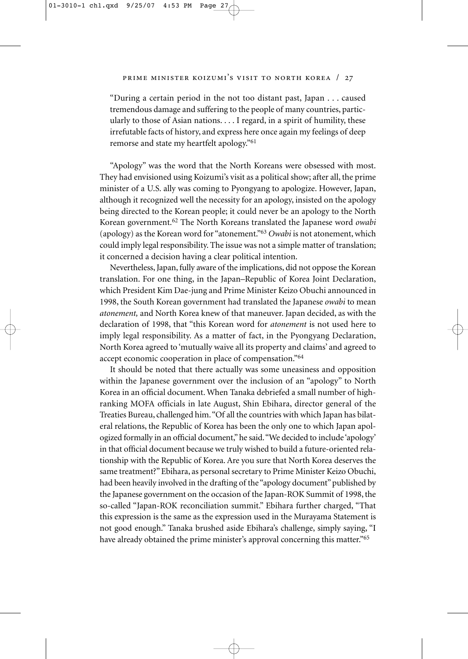"During a certain period in the not too distant past, Japan . . . caused tremendous damage and suffering to the people of many countries, particularly to those of Asian nations. . . . I regard, in a spirit of humility, these irrefutable facts of history, and express here once again my feelings of deep remorse and state my heartfelt apology."61

"Apology" was the word that the North Koreans were obsessed with most. They had envisioned using Koizumi's visit as a political show; after all, the prime minister of a U.S. ally was coming to Pyongyang to apologize. However, Japan, although it recognized well the necessity for an apology, insisted on the apology being directed to the Korean people; it could never be an apology to the North Korean government.62 The North Koreans translated the Japanese word *owabi* (apology) as the Korean word for "atonement."63 *Owabi* is not atonement, which could imply legal responsibility. The issue was not a simple matter of translation; it concerned a decision having a clear political intention.

Nevertheless, Japan, fully aware of the implications, did not oppose the Korean translation. For one thing, in the Japan–Republic of Korea Joint Declaration, which President Kim Dae-jung and Prime Minister Keizo Obuchi announced in 1998, the South Korean government had translated the Japanese *owabi* to mean *atonement,* and North Korea knew of that maneuver. Japan decided, as with the declaration of 1998, that "this Korean word for *atonement* is not used here to imply legal responsibility. As a matter of fact, in the Pyongyang Declaration, North Korea agreed to 'mutually waive all its property and claims' and agreed to accept economic cooperation in place of compensation."64

It should be noted that there actually was some uneasiness and opposition within the Japanese government over the inclusion of an "apology" to North Korea in an official document. When Tanaka debriefed a small number of highranking MOFA officials in late August, Shin Ebihara, director general of the Treaties Bureau, challenged him."Of all the countries with which Japan has bilateral relations, the Republic of Korea has been the only one to which Japan apologized formally in an official document," he said."We decided to include 'apology' in that official document because we truly wished to build a future-oriented relationship with the Republic of Korea. Are you sure that North Korea deserves the same treatment?" Ebihara, as personal secretary to Prime Minister Keizo Obuchi, had been heavily involved in the drafting of the "apology document" published by the Japanese government on the occasion of the Japan-ROK Summit of 1998, the so-called "Japan-ROK reconciliation summit." Ebihara further charged, "That this expression is the same as the expression used in the Murayama Statement is not good enough." Tanaka brushed aside Ebihara's challenge, simply saying, "I have already obtained the prime minister's approval concerning this matter."<sup>65</sup>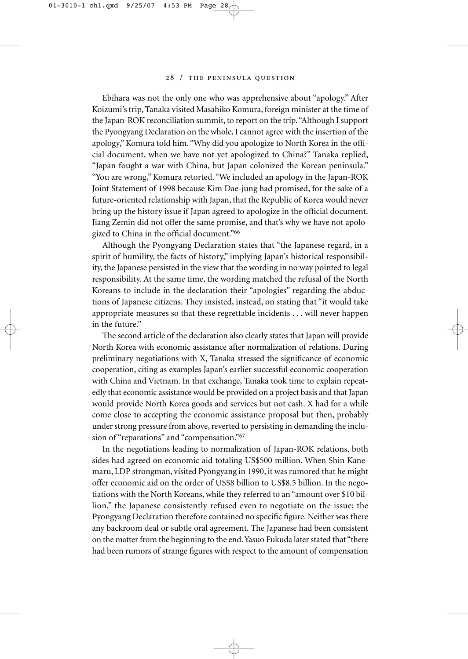Ebihara was not the only one who was apprehensive about "apology." After Koizumi's trip, Tanaka visited Masahiko Komura, foreign minister at the time of the Japan-ROK reconciliation summit, to report on the trip."Although I support the Pyongyang Declaration on the whole, I cannot agree with the insertion of the apology," Komura told him. "Why did you apologize to North Korea in the official document, when we have not yet apologized to China?" Tanaka replied, "Japan fought a war with China, but Japan colonized the Korean peninsula." "You are wrong," Komura retorted. "We included an apology in the Japan-ROK Joint Statement of 1998 because Kim Dae-jung had promised, for the sake of a future-oriented relationship with Japan, that the Republic of Korea would never bring up the history issue if Japan agreed to apologize in the official document. Jiang Zemin did not offer the same promise, and that's why we have not apologized to China in the official document."66

Although the Pyongyang Declaration states that "the Japanese regard, in a spirit of humility, the facts of history," implying Japan's historical responsibility, the Japanese persisted in the view that the wording in no way pointed to legal responsibility. At the same time, the wording matched the refusal of the North Koreans to include in the declaration their "apologies" regarding the abductions of Japanese citizens. They insisted, instead, on stating that "it would take appropriate measures so that these regrettable incidents . . . will never happen in the future."

The second article of the declaration also clearly states that Japan will provide North Korea with economic assistance after normalization of relations. During preliminary negotiations with X, Tanaka stressed the significance of economic cooperation, citing as examples Japan's earlier successful economic cooperation with China and Vietnam. In that exchange, Tanaka took time to explain repeatedly that economic assistance would be provided on a project basis and that Japan would provide North Korea goods and services but not cash. X had for a while come close to accepting the economic assistance proposal but then, probably under strong pressure from above, reverted to persisting in demanding the inclusion of "reparations" and "compensation."<sup>67</sup>

In the negotiations leading to normalization of Japan-ROK relations, both sides had agreed on economic aid totaling US\$500 million. When Shin Kanemaru, LDP strongman, visited Pyongyang in 1990, it was rumored that he might offer economic aid on the order of US\$8 billion to US\$8.5 billion. In the negotiations with the North Koreans, while they referred to an "amount over \$10 billion," the Japanese consistently refused even to negotiate on the issue; the Pyongyang Declaration therefore contained no specific figure. Neither was there any backroom deal or subtle oral agreement. The Japanese had been consistent on the matter from the beginning to the end. Yasuo Fukuda later stated that "there had been rumors of strange figures with respect to the amount of compensation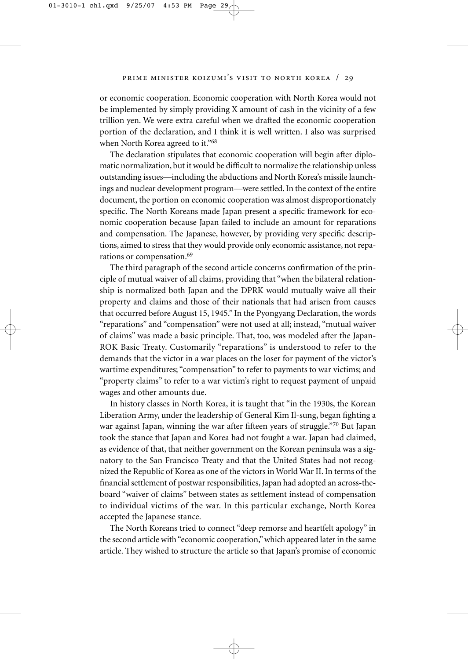or economic cooperation. Economic cooperation with North Korea would not be implemented by simply providing X amount of cash in the vicinity of a few trillion yen. We were extra careful when we drafted the economic cooperation portion of the declaration, and I think it is well written. I also was surprised when North Korea agreed to it."68

The declaration stipulates that economic cooperation will begin after diplomatic normalization, but it would be difficult to normalize the relationship unless outstanding issues—including the abductions and North Korea's missile launchings and nuclear development program—were settled. In the context of the entire document, the portion on economic cooperation was almost disproportionately specific. The North Koreans made Japan present a specific framework for economic cooperation because Japan failed to include an amount for reparations and compensation. The Japanese, however, by providing very specific descriptions, aimed to stress that they would provide only economic assistance, not reparations or compensation.69

The third paragraph of the second article concerns confirmation of the principle of mutual waiver of all claims, providing that "when the bilateral relationship is normalized both Japan and the DPRK would mutually waive all their property and claims and those of their nationals that had arisen from causes that occurred before August 15, 1945." In the Pyongyang Declaration, the words "reparations" and "compensation" were not used at all; instead, "mutual waiver of claims" was made a basic principle. That, too, was modeled after the Japan-ROK Basic Treaty. Customarily "reparations" is understood to refer to the demands that the victor in a war places on the loser for payment of the victor's wartime expenditures; "compensation" to refer to payments to war victims; and "property claims" to refer to a war victim's right to request payment of unpaid wages and other amounts due.

In history classes in North Korea, it is taught that "in the 1930s, the Korean Liberation Army, under the leadership of General Kim Il-sung, began fighting a war against Japan, winning the war after fifteen years of struggle."70 But Japan took the stance that Japan and Korea had not fought a war. Japan had claimed, as evidence of that, that neither government on the Korean peninsula was a signatory to the San Francisco Treaty and that the United States had not recognized the Republic of Korea as one of the victors in World War II. In terms of the financial settlement of postwar responsibilities, Japan had adopted an across-theboard "waiver of claims" between states as settlement instead of compensation to individual victims of the war. In this particular exchange, North Korea accepted the Japanese stance.

The North Koreans tried to connect "deep remorse and heartfelt apology" in the second article with "economic cooperation," which appeared later in the same article. They wished to structure the article so that Japan's promise of economic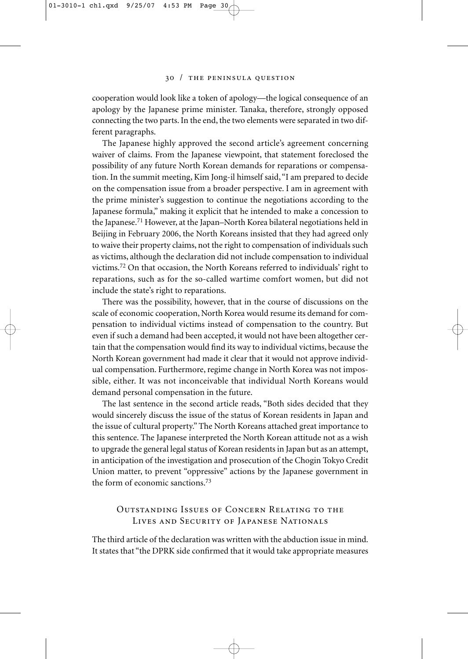cooperation would look like a token of apology—the logical consequence of an apology by the Japanese prime minister. Tanaka, therefore, strongly opposed connecting the two parts. In the end, the two elements were separated in two different paragraphs.

The Japanese highly approved the second article's agreement concerning waiver of claims. From the Japanese viewpoint, that statement foreclosed the possibility of any future North Korean demands for reparations or compensation. In the summit meeting, Kim Jong-il himself said, "I am prepared to decide on the compensation issue from a broader perspective. I am in agreement with the prime minister's suggestion to continue the negotiations according to the Japanese formula," making it explicit that he intended to make a concession to the Japanese.71 However, at the Japan–North Korea bilateral negotiations held in Beijing in February 2006, the North Koreans insisted that they had agreed only to waive their property claims, not the right to compensation of individuals such as victims, although the declaration did not include compensation to individual victims.72 On that occasion, the North Koreans referred to individuals' right to reparations, such as for the so-called wartime comfort women, but did not include the state's right to reparations.

There was the possibility, however, that in the course of discussions on the scale of economic cooperation, North Korea would resume its demand for compensation to individual victims instead of compensation to the country. But even if such a demand had been accepted, it would not have been altogether certain that the compensation would find its way to individual victims, because the North Korean government had made it clear that it would not approve individual compensation. Furthermore, regime change in North Korea was not impossible, either. It was not inconceivable that individual North Koreans would demand personal compensation in the future.

The last sentence in the second article reads, "Both sides decided that they would sincerely discuss the issue of the status of Korean residents in Japan and the issue of cultural property." The North Koreans attached great importance to this sentence. The Japanese interpreted the North Korean attitude not as a wish to upgrade the general legal status of Korean residents in Japan but as an attempt, in anticipation of the investigation and prosecution of the Chogin Tokyo Credit Union matter, to prevent "oppressive" actions by the Japanese government in the form of economic sanctions.73

# Outstanding Issues of Concern Relating to the Lives and Security of Japanese Nationals

The third article of the declaration was written with the abduction issue in mind. It states that "the DPRK side confirmed that it would take appropriate measures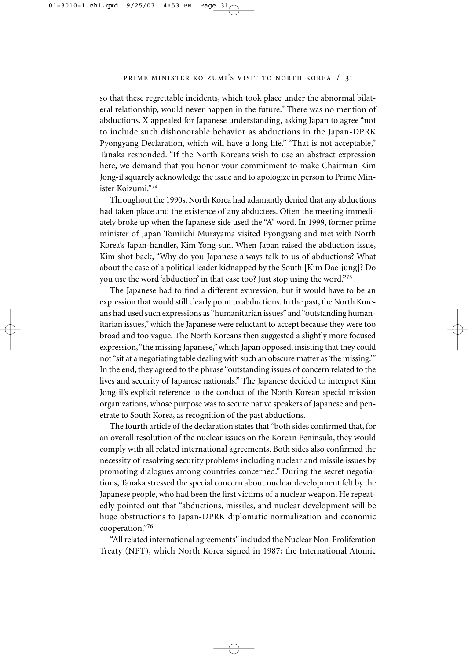so that these regrettable incidents, which took place under the abnormal bilateral relationship, would never happen in the future." There was no mention of abductions. X appealed for Japanese understanding, asking Japan to agree "not to include such dishonorable behavior as abductions in the Japan-DPRK Pyongyang Declaration, which will have a long life." "That is not acceptable," Tanaka responded. "If the North Koreans wish to use an abstract expression here, we demand that you honor your commitment to make Chairman Kim Jong-il squarely acknowledge the issue and to apologize in person to Prime Minister Koizumi."74

Throughout the 1990s, North Korea had adamantly denied that any abductions had taken place and the existence of any abductees. Often the meeting immediately broke up when the Japanese side used the "A" word. In 1999, former prime minister of Japan Tomiichi Murayama visited Pyongyang and met with North Korea's Japan-handler, Kim Yong-sun. When Japan raised the abduction issue, Kim shot back, "Why do you Japanese always talk to us of abductions? What about the case of a political leader kidnapped by the South [Kim Dae-jung]? Do you use the word 'abduction' in that case too? Just stop using the word."75

The Japanese had to find a different expression, but it would have to be an expression that would still clearly point to abductions. In the past, the North Koreans had used such expressions as "humanitarian issues" and "outstanding humanitarian issues," which the Japanese were reluctant to accept because they were too broad and too vague. The North Koreans then suggested a slightly more focused expression,"the missing Japanese," which Japan opposed, insisting that they could not "sit at a negotiating table dealing with such an obscure matter as 'the missing.'" In the end, they agreed to the phrase "outstanding issues of concern related to the lives and security of Japanese nationals." The Japanese decided to interpret Kim Jong-il's explicit reference to the conduct of the North Korean special mission organizations, whose purpose was to secure native speakers of Japanese and penetrate to South Korea, as recognition of the past abductions.

The fourth article of the declaration states that "both sides confirmed that, for an overall resolution of the nuclear issues on the Korean Peninsula, they would comply with all related international agreements. Both sides also confirmed the necessity of resolving security problems including nuclear and missile issues by promoting dialogues among countries concerned." During the secret negotiations, Tanaka stressed the special concern about nuclear development felt by the Japanese people, who had been the first victims of a nuclear weapon. He repeatedly pointed out that "abductions, missiles, and nuclear development will be huge obstructions to Japan-DPRK diplomatic normalization and economic cooperation."76

"All related international agreements" included the Nuclear Non-Proliferation Treaty (NPT), which North Korea signed in 1987; the International Atomic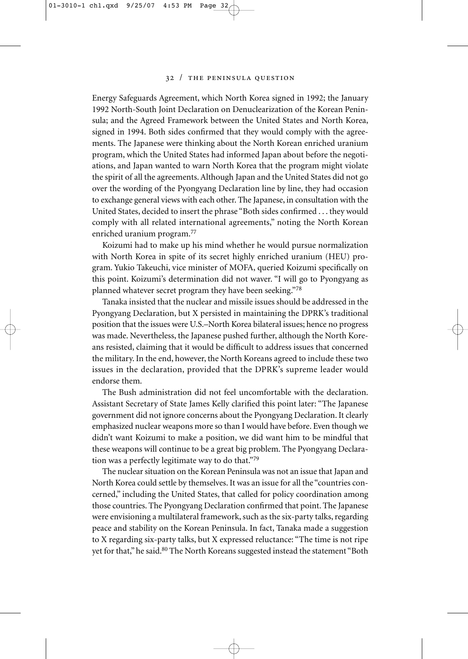Energy Safeguards Agreement, which North Korea signed in 1992; the January 1992 North-South Joint Declaration on Denuclearization of the Korean Peninsula; and the Agreed Framework between the United States and North Korea, signed in 1994. Both sides confirmed that they would comply with the agreements. The Japanese were thinking about the North Korean enriched uranium program, which the United States had informed Japan about before the negotiations, and Japan wanted to warn North Korea that the program might violate the spirit of all the agreements. Although Japan and the United States did not go over the wording of the Pyongyang Declaration line by line, they had occasion to exchange general views with each other. The Japanese, in consultation with the United States, decided to insert the phrase "Both sides confirmed . . . they would comply with all related international agreements," noting the North Korean enriched uranium program.77

Koizumi had to make up his mind whether he would pursue normalization with North Korea in spite of its secret highly enriched uranium (HEU) program. Yukio Takeuchi, vice minister of MOFA, queried Koizumi specifically on this point. Koizumi's determination did not waver. "I will go to Pyongyang as planned whatever secret program they have been seeking."78

Tanaka insisted that the nuclear and missile issues should be addressed in the Pyongyang Declaration, but X persisted in maintaining the DPRK's traditional position that the issues were U.S.–North Korea bilateral issues; hence no progress was made. Nevertheless, the Japanese pushed further, although the North Koreans resisted, claiming that it would be difficult to address issues that concerned the military. In the end, however, the North Koreans agreed to include these two issues in the declaration, provided that the DPRK's supreme leader would endorse them.

The Bush administration did not feel uncomfortable with the declaration. Assistant Secretary of State James Kelly clarified this point later: "The Japanese government did not ignore concerns about the Pyongyang Declaration. It clearly emphasized nuclear weapons more so than I would have before. Even though we didn't want Koizumi to make a position, we did want him to be mindful that these weapons will continue to be a great big problem. The Pyongyang Declaration was a perfectly legitimate way to do that."79

The nuclear situation on the Korean Peninsula was not an issue that Japan and North Korea could settle by themselves. It was an issue for all the "countries concerned," including the United States, that called for policy coordination among those countries. The Pyongyang Declaration confirmed that point. The Japanese were envisioning a multilateral framework, such as the six-party talks, regarding peace and stability on the Korean Peninsula. In fact, Tanaka made a suggestion to X regarding six-party talks, but X expressed reluctance: "The time is not ripe yet for that," he said.<sup>80</sup> The North Koreans suggested instead the statement "Both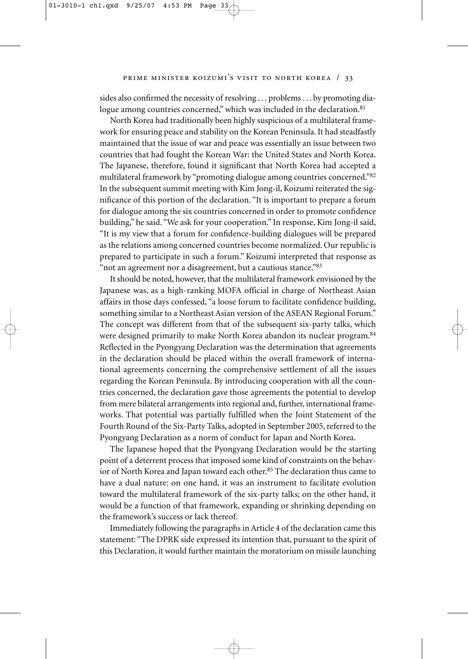sides also confirmed the necessity of resolving . . . problems . . . by promoting dialogue among countries concerned," which was included in the declaration.<sup>81</sup>

North Korea had traditionally been highly suspicious of a multilateral framework for ensuring peace and stability on the Korean Peninsula. It had steadfastly maintained that the issue of war and peace was essentially an issue between two countries that had fought the Korean War: the United States and North Korea. The Japanese, therefore, found it significant that North Korea had accepted a multilateral framework by "promoting dialogue among countries concerned."82 In the subsequent summit meeting with Kim Jong-il, Koizumi reiterated the significance of this portion of the declaration. "It is important to prepare a forum for dialogue among the six countries concerned in order to promote confidence building," he said. "We ask for your cooperation." In response, Kim Jong-il said, "It is my view that a forum for confidence-building dialogues will be prepared as the relations among concerned countries become normalized. Our republic is prepared to participate in such a forum." Koizumi interpreted that response as "not an agreement nor a disagreement, but a cautious stance."<sup>83</sup>

It should be noted, however, that the multilateral framework envisioned by the Japanese was, as a high-ranking MOFA official in charge of Northeast Asian affairs in those days confessed, "a loose forum to facilitate confidence building, something similar to a Northeast Asian version of the ASEAN Regional Forum." The concept was different from that of the subsequent six-party talks, which were designed primarily to make North Korea abandon its nuclear program.<sup>84</sup> Reflected in the Pyongyang Declaration was the determination that agreements in the declaration should be placed within the overall framework of international agreements concerning the comprehensive settlement of all the issues regarding the Korean Peninsula. By introducing cooperation with all the countries concerned, the declaration gave those agreements the potential to develop from mere bilateral arrangements into regional and, further, international frameworks. That potential was partially fulfilled when the Joint Statement of the Fourth Round of the Six-Party Talks, adopted in September 2005, referred to the Pyongyang Declaration as a norm of conduct for Japan and North Korea.

The Japanese hoped that the Pyongyang Declaration would be the starting point of a deterrent process that imposed some kind of constraints on the behavior of North Korea and Japan toward each other.<sup>85</sup> The declaration thus came to have a dual nature: on one hand, it was an instrument to facilitate evolution toward the multilateral framework of the six-party talks; on the other hand, it would be a function of that framework, expanding or shrinking depending on the framework's success or lack thereof.

Immediately following the paragraphs in Article 4 of the declaration came this statement: "The DPRK side expressed its intention that, pursuant to the spirit of this Declaration, it would further maintain the moratorium on missile launching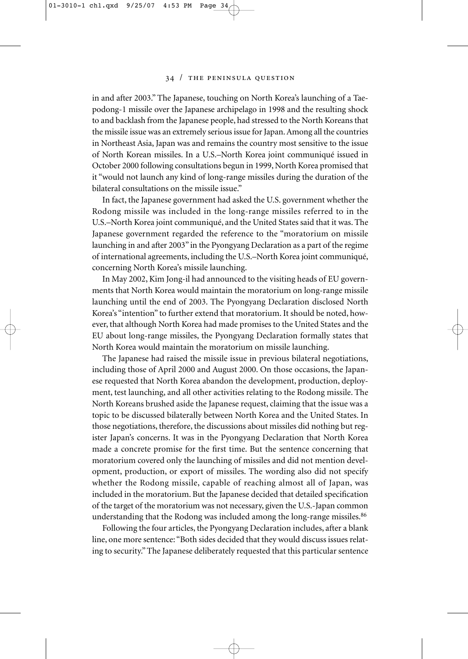in and after 2003." The Japanese, touching on North Korea's launching of a Taepodong-1 missile over the Japanese archipelago in 1998 and the resulting shock to and backlash from the Japanese people, had stressed to the North Koreans that the missile issue was an extremely serious issue for Japan. Among all the countries in Northeast Asia, Japan was and remains the country most sensitive to the issue of North Korean missiles. In a U.S.–North Korea joint communiqué issued in October 2000 following consultations begun in 1999, North Korea promised that it "would not launch any kind of long-range missiles during the duration of the bilateral consultations on the missile issue."

In fact, the Japanese government had asked the U.S. government whether the Rodong missile was included in the long-range missiles referred to in the U.S.–North Korea joint communiqué, and the United States said that it was. The Japanese government regarded the reference to the "moratorium on missile launching in and after 2003" in the Pyongyang Declaration as a part of the regime of international agreements, including the U.S.–North Korea joint communiqué, concerning North Korea's missile launching.

In May 2002, Kim Jong-il had announced to the visiting heads of EU governments that North Korea would maintain the moratorium on long-range missile launching until the end of 2003. The Pyongyang Declaration disclosed North Korea's "intention" to further extend that moratorium. It should be noted, however, that although North Korea had made promises to the United States and the EU about long-range missiles, the Pyongyang Declaration formally states that North Korea would maintain the moratorium on missile launching.

The Japanese had raised the missile issue in previous bilateral negotiations, including those of April 2000 and August 2000. On those occasions, the Japanese requested that North Korea abandon the development, production, deployment, test launching, and all other activities relating to the Rodong missile. The North Koreans brushed aside the Japanese request, claiming that the issue was a topic to be discussed bilaterally between North Korea and the United States. In those negotiations, therefore, the discussions about missiles did nothing but register Japan's concerns. It was in the Pyongyang Declaration that North Korea made a concrete promise for the first time. But the sentence concerning that moratorium covered only the launching of missiles and did not mention development, production, or export of missiles. The wording also did not specify whether the Rodong missile, capable of reaching almost all of Japan, was included in the moratorium. But the Japanese decided that detailed specification of the target of the moratorium was not necessary, given the U.S.-Japan common understanding that the Rodong was included among the long-range missiles.<sup>86</sup>

Following the four articles, the Pyongyang Declaration includes, after a blank line, one more sentence: "Both sides decided that they would discuss issues relating to security." The Japanese deliberately requested that this particular sentence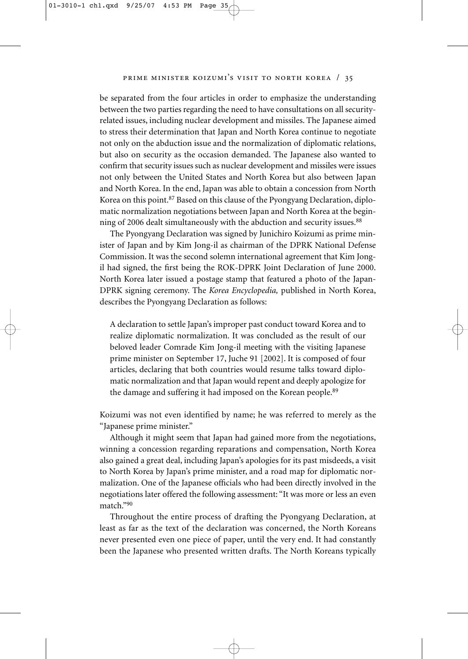be separated from the four articles in order to emphasize the understanding between the two parties regarding the need to have consultations on all securityrelated issues, including nuclear development and missiles. The Japanese aimed to stress their determination that Japan and North Korea continue to negotiate not only on the abduction issue and the normalization of diplomatic relations, but also on security as the occasion demanded. The Japanese also wanted to confirm that security issues such as nuclear development and missiles were issues not only between the United States and North Korea but also between Japan and North Korea. In the end, Japan was able to obtain a concession from North Korea on this point.<sup>87</sup> Based on this clause of the Pyongyang Declaration, diplomatic normalization negotiations between Japan and North Korea at the beginning of 2006 dealt simultaneously with the abduction and security issues.<sup>88</sup>

The Pyongyang Declaration was signed by Junichiro Koizumi as prime minister of Japan and by Kim Jong-il as chairman of the DPRK National Defense Commission. It was the second solemn international agreement that Kim Jongil had signed, the first being the ROK-DPRK Joint Declaration of June 2000. North Korea later issued a postage stamp that featured a photo of the Japan-DPRK signing ceremony. The *Korea Encyclopedia,* published in North Korea, describes the Pyongyang Declaration as follows:

A declaration to settle Japan's improper past conduct toward Korea and to realize diplomatic normalization. It was concluded as the result of our beloved leader Comrade Kim Jong-il meeting with the visiting Japanese prime minister on September 17, Juche 91 [2002]. It is composed of four articles, declaring that both countries would resume talks toward diplomatic normalization and that Japan would repent and deeply apologize for the damage and suffering it had imposed on the Korean people.<sup>89</sup>

Koizumi was not even identified by name; he was referred to merely as the "Japanese prime minister."

Although it might seem that Japan had gained more from the negotiations, winning a concession regarding reparations and compensation, North Korea also gained a great deal, including Japan's apologies for its past misdeeds, a visit to North Korea by Japan's prime minister, and a road map for diplomatic normalization. One of the Japanese officials who had been directly involved in the negotiations later offered the following assessment: "It was more or less an even match."90

Throughout the entire process of drafting the Pyongyang Declaration, at least as far as the text of the declaration was concerned, the North Koreans never presented even one piece of paper, until the very end. It had constantly been the Japanese who presented written drafts. The North Koreans typically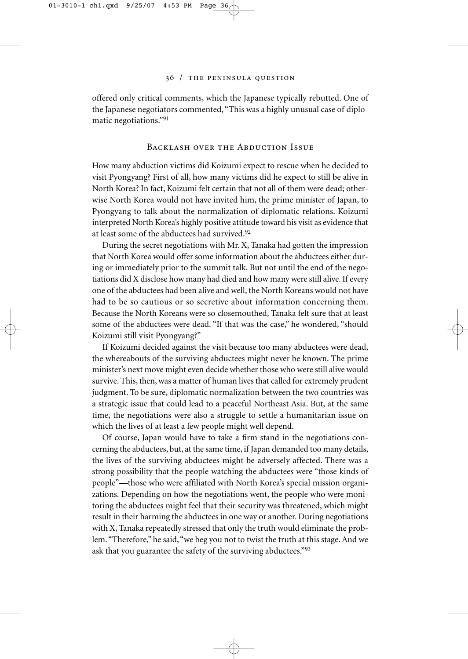offered only critical comments, which the Japanese typically rebutted. One of the Japanese negotiators commented, "This was a highly unusual case of diplomatic negotiations."91

#### Backlash over the Abduction Issue

How many abduction victims did Koizumi expect to rescue when he decided to visit Pyongyang? First of all, how many victims did he expect to still be alive in North Korea? In fact, Koizumi felt certain that not all of them were dead; otherwise North Korea would not have invited him, the prime minister of Japan, to Pyongyang to talk about the normalization of diplomatic relations. Koizumi interpreted North Korea's highly positive attitude toward his visit as evidence that at least some of the abductees had survived.92

During the secret negotiations with Mr. X, Tanaka had gotten the impression that North Korea would offer some information about the abductees either during or immediately prior to the summit talk. But not until the end of the negotiations did X disclose how many had died and how many were still alive. If every one of the abductees had been alive and well, the North Koreans would not have had to be so cautious or so secretive about information concerning them. Because the North Koreans were so closemouthed, Tanaka felt sure that at least some of the abductees were dead. "If that was the case," he wondered, "should Koizumi still visit Pyongyang?"

If Koizumi decided against the visit because too many abductees were dead, the whereabouts of the surviving abductees might never be known. The prime minister's next move might even decide whether those who were still alive would survive. This, then, was a matter of human lives that called for extremely prudent judgment. To be sure, diplomatic normalization between the two countries was a strategic issue that could lead to a peaceful Northeast Asia. But, at the same time, the negotiations were also a struggle to settle a humanitarian issue on which the lives of at least a few people might well depend.

Of course, Japan would have to take a firm stand in the negotiations concerning the abductees, but, at the same time, if Japan demanded too many details, the lives of the surviving abductees might be adversely affected. There was a strong possibility that the people watching the abductees were "those kinds of people"—those who were affiliated with North Korea's special mission organizations. Depending on how the negotiations went, the people who were monitoring the abductees might feel that their security was threatened, which might result in their harming the abductees in one way or another. During negotiations with X, Tanaka repeatedly stressed that only the truth would eliminate the problem."Therefore," he said,"we beg you not to twist the truth at this stage. And we ask that you guarantee the safety of the surviving abductees."93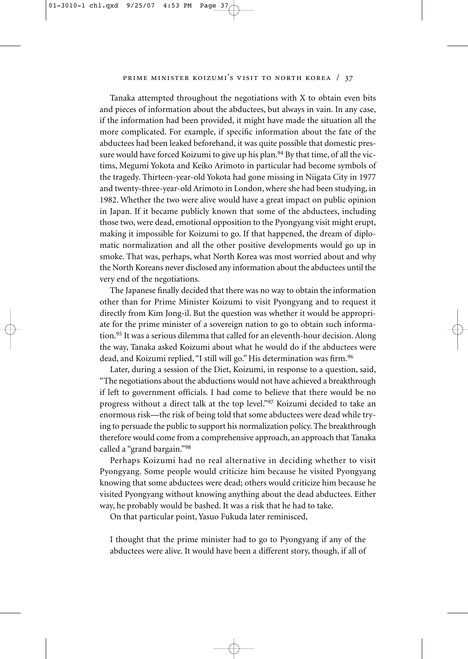Tanaka attempted throughout the negotiations with X to obtain even bits and pieces of information about the abductees, but always in vain. In any case, if the information had been provided, it might have made the situation all the more complicated. For example, if specific information about the fate of the abductees had been leaked beforehand, it was quite possible that domestic pressure would have forced Koizumi to give up his plan.<sup>94</sup> By that time, of all the victims, Megumi Yokota and Keiko Arimoto in particular had become symbols of the tragedy. Thirteen-year-old Yokota had gone missing in Niigata City in 1977 and twenty-three-year-old Arimoto in London, where she had been studying, in 1982. Whether the two were alive would have a great impact on public opinion in Japan. If it became publicly known that some of the abductees, including those two, were dead, emotional opposition to the Pyongyang visit might erupt, making it impossible for Koizumi to go. If that happened, the dream of diplomatic normalization and all the other positive developments would go up in smoke. That was, perhaps, what North Korea was most worried about and why the North Koreans never disclosed any information about the abductees until the very end of the negotiations.

The Japanese finally decided that there was no way to obtain the information other than for Prime Minister Koizumi to visit Pyongyang and to request it directly from Kim Jong-il. But the question was whether it would be appropriate for the prime minister of a sovereign nation to go to obtain such information.<sup>95</sup> It was a serious dilemma that called for an eleventh-hour decision. Along the way, Tanaka asked Koizumi about what he would do if the abductees were dead, and Koizumi replied, "I still will go." His determination was firm.<sup>96</sup>

Later, during a session of the Diet, Koizumi, in response to a question, said, "The negotiations about the abductions would not have achieved a breakthrough if left to government officials. I had come to believe that there would be no progress without a direct talk at the top level."97 Koizumi decided to take an enormous risk—the risk of being told that some abductees were dead while trying to persuade the public to support his normalization policy. The breakthrough therefore would come from a comprehensive approach, an approach that Tanaka called a "grand bargain."98

Perhaps Koizumi had no real alternative in deciding whether to visit Pyongyang. Some people would criticize him because he visited Pyongyang knowing that some abductees were dead; others would criticize him because he visited Pyongyang without knowing anything about the dead abductees. Either way, he probably would be bashed. It was a risk that he had to take.

On that particular point, Yasuo Fukuda later reminisced,

I thought that the prime minister had to go to Pyongyang if any of the abductees were alive. It would have been a different story, though, if all of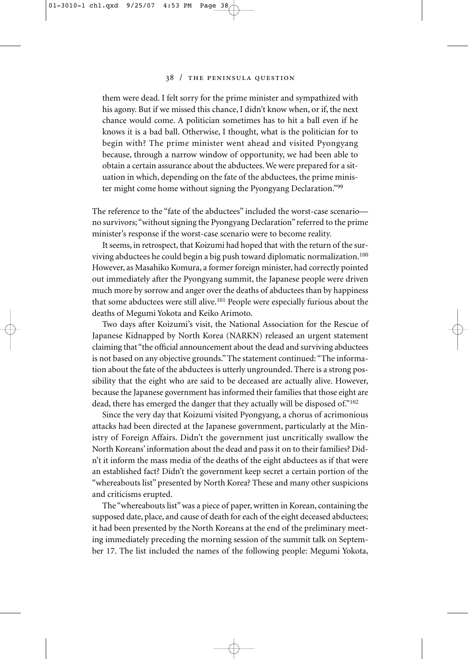them were dead. I felt sorry for the prime minister and sympathized with his agony. But if we missed this chance, I didn't know when, or if, the next chance would come. A politician sometimes has to hit a ball even if he knows it is a bad ball. Otherwise, I thought, what is the politician for to begin with? The prime minister went ahead and visited Pyongyang because, through a narrow window of opportunity, we had been able to obtain a certain assurance about the abductees. We were prepared for a situation in which, depending on the fate of the abductees, the prime minister might come home without signing the Pyongyang Declaration."99

The reference to the "fate of the abductees" included the worst-case scenario no survivors; "without signing the Pyongyang Declaration" referred to the prime minister's response if the worst-case scenario were to become reality.

It seems, in retrospect, that Koizumi had hoped that with the return of the surviving abductees he could begin a big push toward diplomatic normalization.100 However, as Masahiko Komura, a former foreign minister, had correctly pointed out immediately after the Pyongyang summit, the Japanese people were driven much more by sorrow and anger over the deaths of abductees than by happiness that some abductees were still alive.<sup>101</sup> People were especially furious about the deaths of Megumi Yokota and Keiko Arimoto.

Two days after Koizumi's visit, the National Association for the Rescue of Japanese Kidnapped by North Korea (NARKN) released an urgent statement claiming that "the official announcement about the dead and surviving abductees is not based on any objective grounds." The statement continued: "The information about the fate of the abductees is utterly ungrounded. There is a strong possibility that the eight who are said to be deceased are actually alive. However, because the Japanese government has informed their families that those eight are dead, there has emerged the danger that they actually will be disposed of."<sup>102</sup>

Since the very day that Koizumi visited Pyongyang, a chorus of acrimonious attacks had been directed at the Japanese government, particularly at the Ministry of Foreign Affairs. Didn't the government just uncritically swallow the North Koreans' information about the dead and pass it on to their families? Didn't it inform the mass media of the deaths of the eight abductees as if that were an established fact? Didn't the government keep secret a certain portion of the "whereabouts list" presented by North Korea? These and many other suspicions and criticisms erupted.

The "whereabouts list" was a piece of paper, written in Korean, containing the supposed date, place, and cause of death for each of the eight deceased abductees; it had been presented by the North Koreans at the end of the preliminary meeting immediately preceding the morning session of the summit talk on September 17. The list included the names of the following people: Megumi Yokota,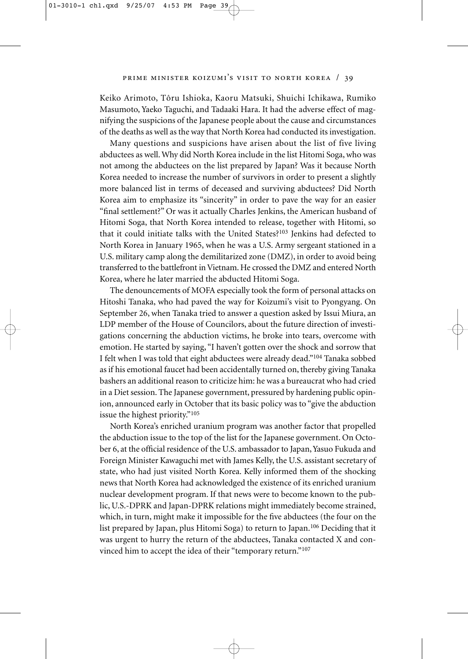Keiko Arimoto, Tôru Ishioka, Kaoru Matsuki, Shuichi Ichikawa, Rumiko Masumoto, Yaeko Taguchi, and Tadaaki Hara. It had the adverse effect of magnifying the suspicions of the Japanese people about the cause and circumstances of the deaths as well as the way that North Korea had conducted its investigation.

Many questions and suspicions have arisen about the list of five living abductees as well. Why did North Korea include in the list Hitomi Soga, who was not among the abductees on the list prepared by Japan? Was it because North Korea needed to increase the number of survivors in order to present a slightly more balanced list in terms of deceased and surviving abductees? Did North Korea aim to emphasize its "sincerity" in order to pave the way for an easier "final settlement?" Or was it actually Charles Jenkins, the American husband of Hitomi Soga, that North Korea intended to release, together with Hitomi, so that it could initiate talks with the United States?103 Jenkins had defected to North Korea in January 1965, when he was a U.S. Army sergeant stationed in a U.S. military camp along the demilitarized zone (DMZ), in order to avoid being transferred to the battlefront in Vietnam. He crossed the DMZ and entered North Korea, where he later married the abducted Hitomi Soga.

The denouncements of MOFA especially took the form of personal attacks on Hitoshi Tanaka, who had paved the way for Koizumi's visit to Pyongyang. On September 26, when Tanaka tried to answer a question asked by Issui Miura, an LDP member of the House of Councilors, about the future direction of investigations concerning the abduction victims, he broke into tears, overcome with emotion. He started by saying, "I haven't gotten over the shock and sorrow that I felt when I was told that eight abductees were already dead."104 Tanaka sobbed as if his emotional faucet had been accidentally turned on, thereby giving Tanaka bashers an additional reason to criticize him: he was a bureaucrat who had cried in a Diet session. The Japanese government, pressured by hardening public opinion, announced early in October that its basic policy was to "give the abduction issue the highest priority."105

North Korea's enriched uranium program was another factor that propelled the abduction issue to the top of the list for the Japanese government. On October 6, at the official residence of the U.S. ambassador to Japan, Yasuo Fukuda and Foreign Minister Kawaguchi met with James Kelly, the U.S. assistant secretary of state, who had just visited North Korea. Kelly informed them of the shocking news that North Korea had acknowledged the existence of its enriched uranium nuclear development program. If that news were to become known to the public, U.S.-DPRK and Japan-DPRK relations might immediately become strained, which, in turn, might make it impossible for the five abductees (the four on the list prepared by Japan, plus Hitomi Soga) to return to Japan.<sup>106</sup> Deciding that it was urgent to hurry the return of the abductees, Tanaka contacted X and convinced him to accept the idea of their "temporary return."107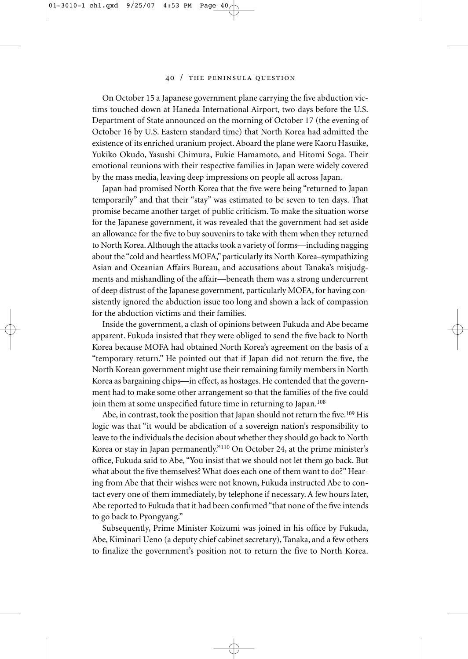On October 15 a Japanese government plane carrying the five abduction victims touched down at Haneda International Airport, two days before the U.S. Department of State announced on the morning of October 17 (the evening of October 16 by U.S. Eastern standard time) that North Korea had admitted the existence of its enriched uranium project. Aboard the plane were Kaoru Hasuike, Yukiko Okudo, Yasushi Chimura, Fukie Hamamoto, and Hitomi Soga. Their emotional reunions with their respective families in Japan were widely covered by the mass media, leaving deep impressions on people all across Japan.

Japan had promised North Korea that the five were being "returned to Japan temporarily" and that their "stay" was estimated to be seven to ten days. That promise became another target of public criticism. To make the situation worse for the Japanese government, it was revealed that the government had set aside an allowance for the five to buy souvenirs to take with them when they returned to North Korea. Although the attacks took a variety of forms—including nagging about the "cold and heartless MOFA," particularly its North Korea–sympathizing Asian and Oceanian Affairs Bureau, and accusations about Tanaka's misjudgments and mishandling of the affair—beneath them was a strong undercurrent of deep distrust of the Japanese government, particularly MOFA, for having consistently ignored the abduction issue too long and shown a lack of compassion for the abduction victims and their families.

Inside the government, a clash of opinions between Fukuda and Abe became apparent. Fukuda insisted that they were obliged to send the five back to North Korea because MOFA had obtained North Korea's agreement on the basis of a "temporary return." He pointed out that if Japan did not return the five, the North Korean government might use their remaining family members in North Korea as bargaining chips—in effect, as hostages. He contended that the government had to make some other arrangement so that the families of the five could join them at some unspecified future time in returning to Japan.<sup>108</sup>

Abe, in contrast, took the position that Japan should not return the five.<sup>109</sup> His logic was that "it would be abdication of a sovereign nation's responsibility to leave to the individuals the decision about whether they should go back to North Korea or stay in Japan permanently."110 On October 24, at the prime minister's office, Fukuda said to Abe, "You insist that we should not let them go back. But what about the five themselves? What does each one of them want to do?" Hearing from Abe that their wishes were not known, Fukuda instructed Abe to contact every one of them immediately, by telephone if necessary. A few hours later, Abe reported to Fukuda that it had been confirmed "that none of the five intends to go back to Pyongyang."

Subsequently, Prime Minister Koizumi was joined in his office by Fukuda, Abe, Kiminari Ueno (a deputy chief cabinet secretary), Tanaka, and a few others to finalize the government's position not to return the five to North Korea.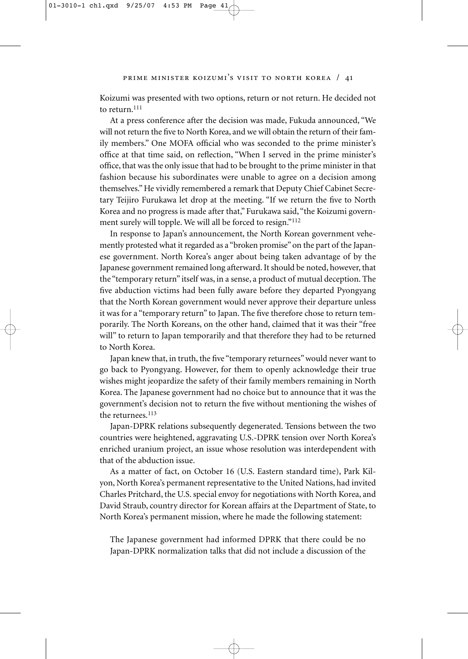Koizumi was presented with two options, return or not return. He decided not to return<sup>111</sup>

At a press conference after the decision was made, Fukuda announced, "We will not return the five to North Korea, and we will obtain the return of their family members." One MOFA official who was seconded to the prime minister's office at that time said, on reflection, "When I served in the prime minister's office, that was the only issue that had to be brought to the prime minister in that fashion because his subordinates were unable to agree on a decision among themselves." He vividly remembered a remark that Deputy Chief Cabinet Secretary Teijiro Furukawa let drop at the meeting. "If we return the five to North Korea and no progress is made after that," Furukawa said, "the Koizumi government surely will topple. We will all be forced to resign."112

In response to Japan's announcement, the North Korean government vehemently protested what it regarded as a "broken promise" on the part of the Japanese government. North Korea's anger about being taken advantage of by the Japanese government remained long afterward. It should be noted, however, that the "temporary return" itself was, in a sense, a product of mutual deception. The five abduction victims had been fully aware before they departed Pyongyang that the North Korean government would never approve their departure unless it was for a "temporary return" to Japan. The five therefore chose to return temporarily. The North Koreans, on the other hand, claimed that it was their "free will" to return to Japan temporarily and that therefore they had to be returned to North Korea.

Japan knew that, in truth, the five "temporary returnees" would never want to go back to Pyongyang. However, for them to openly acknowledge their true wishes might jeopardize the safety of their family members remaining in North Korea. The Japanese government had no choice but to announce that it was the government's decision not to return the five without mentioning the wishes of the returnees.<sup>113</sup>

Japan-DPRK relations subsequently degenerated. Tensions between the two countries were heightened, aggravating U.S.-DPRK tension over North Korea's enriched uranium project, an issue whose resolution was interdependent with that of the abduction issue.

As a matter of fact, on October 16 (U.S. Eastern standard time), Park Kilyon, North Korea's permanent representative to the United Nations, had invited Charles Pritchard, the U.S. special envoy for negotiations with North Korea, and David Straub, country director for Korean affairs at the Department of State, to North Korea's permanent mission, where he made the following statement:

The Japanese government had informed DPRK that there could be no Japan-DPRK normalization talks that did not include a discussion of the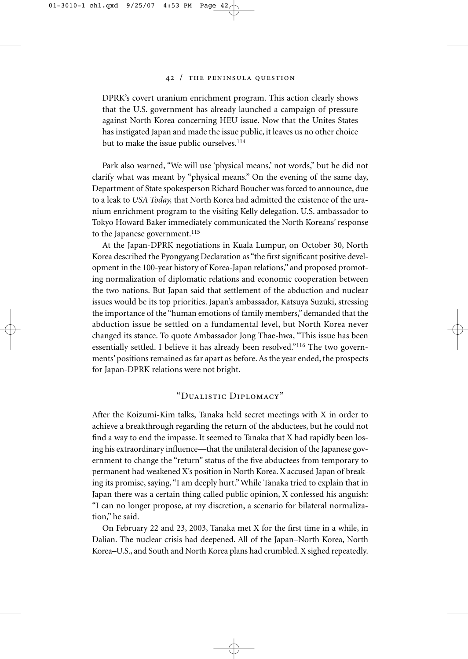DPRK's covert uranium enrichment program. This action clearly shows that the U.S. government has already launched a campaign of pressure against North Korea concerning HEU issue. Now that the Unites States has instigated Japan and made the issue public, it leaves us no other choice but to make the issue public ourselves.<sup>114</sup>

Park also warned, "We will use 'physical means,' not words," but he did not clarify what was meant by "physical means." On the evening of the same day, Department of State spokesperson Richard Boucher was forced to announce, due to a leak to *USA Today,* that North Korea had admitted the existence of the uranium enrichment program to the visiting Kelly delegation. U.S. ambassador to Tokyo Howard Baker immediately communicated the North Koreans' response to the Japanese government.<sup>115</sup>

At the Japan-DPRK negotiations in Kuala Lumpur, on October 30, North Korea described the Pyongyang Declaration as "the first significant positive development in the 100-year history of Korea-Japan relations," and proposed promoting normalization of diplomatic relations and economic cooperation between the two nations. But Japan said that settlement of the abduction and nuclear issues would be its top priorities. Japan's ambassador, Katsuya Suzuki, stressing the importance of the "human emotions of family members," demanded that the abduction issue be settled on a fundamental level, but North Korea never changed its stance. To quote Ambassador Jong Thae-hwa, "This issue has been essentially settled. I believe it has already been resolved."116 The two governments' positions remained as far apart as before. As the year ended, the prospects for Japan-DPRK relations were not bright.

# "Dualistic Diplomacy"

After the Koizumi-Kim talks, Tanaka held secret meetings with X in order to achieve a breakthrough regarding the return of the abductees, but he could not find a way to end the impasse. It seemed to Tanaka that X had rapidly been losing his extraordinary influence—that the unilateral decision of the Japanese government to change the "return" status of the five abductees from temporary to permanent had weakened X's position in North Korea. X accused Japan of breaking its promise, saying, "I am deeply hurt." While Tanaka tried to explain that in Japan there was a certain thing called public opinion, X confessed his anguish: "I can no longer propose, at my discretion, a scenario for bilateral normalization," he said.

On February 22 and 23, 2003, Tanaka met X for the first time in a while, in Dalian. The nuclear crisis had deepened. All of the Japan–North Korea, North Korea–U.S., and South and North Korea plans had crumbled. X sighed repeatedly.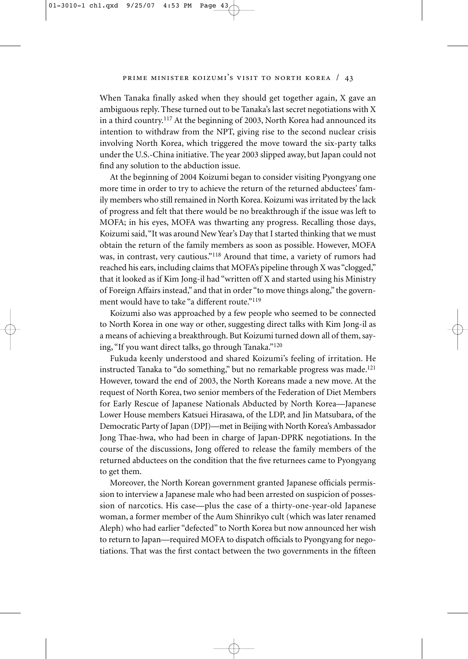When Tanaka finally asked when they should get together again, X gave an ambiguous reply. These turned out to be Tanaka's last secret negotiations with X in a third country.117 At the beginning of 2003, North Korea had announced its intention to withdraw from the NPT, giving rise to the second nuclear crisis involving North Korea, which triggered the move toward the six-party talks under the U.S.-China initiative. The year 2003 slipped away, but Japan could not find any solution to the abduction issue.

At the beginning of 2004 Koizumi began to consider visiting Pyongyang one more time in order to try to achieve the return of the returned abductees' family members who still remained in North Korea. Koizumi was irritated by the lack of progress and felt that there would be no breakthrough if the issue was left to MOFA; in his eyes, MOFA was thwarting any progress. Recalling those days, Koizumi said,"It was around New Year's Day that I started thinking that we must obtain the return of the family members as soon as possible. However, MOFA was, in contrast, very cautious."118 Around that time, a variety of rumors had reached his ears, including claims that MOFA's pipeline through X was "clogged," that it looked as if Kim Jong-il had "written off X and started using his Ministry of Foreign Affairs instead," and that in order "to move things along," the government would have to take "a different route."119

Koizumi also was approached by a few people who seemed to be connected to North Korea in one way or other, suggesting direct talks with Kim Jong-il as a means of achieving a breakthrough. But Koizumi turned down all of them, saying, "If you want direct talks, go through Tanaka."120

Fukuda keenly understood and shared Koizumi's feeling of irritation. He instructed Tanaka to "do something," but no remarkable progress was made.<sup>121</sup> However, toward the end of 2003, the North Koreans made a new move. At the request of North Korea, two senior members of the Federation of Diet Members for Early Rescue of Japanese Nationals Abducted by North Korea—Japanese Lower House members Katsuei Hirasawa, of the LDP, and Jin Matsubara, of the Democratic Party of Japan (DPJ)—met in Beijing with North Korea's Ambassador Jong Thae-hwa, who had been in charge of Japan-DPRK negotiations. In the course of the discussions, Jong offered to release the family members of the returned abductees on the condition that the five returnees came to Pyongyang to get them.

Moreover, the North Korean government granted Japanese officials permission to interview a Japanese male who had been arrested on suspicion of possession of narcotics. His case—plus the case of a thirty-one-year-old Japanese woman, a former member of the Aum Shinrikyo cult (which was later renamed Aleph) who had earlier "defected" to North Korea but now announced her wish to return to Japan—required MOFA to dispatch officials to Pyongyang for negotiations. That was the first contact between the two governments in the fifteen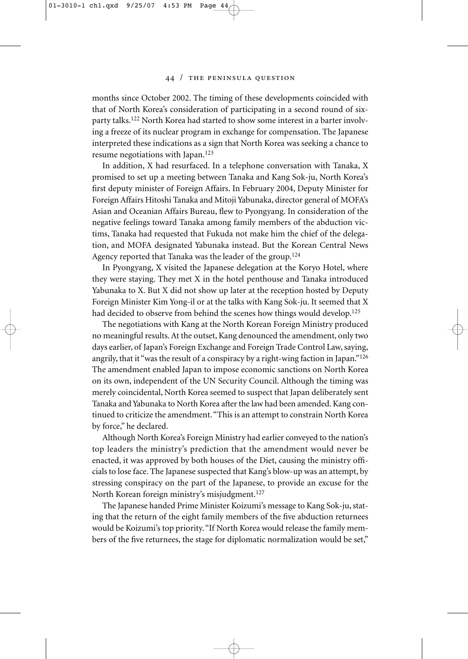months since October 2002. The timing of these developments coincided with that of North Korea's consideration of participating in a second round of sixparty talks.<sup>122</sup> North Korea had started to show some interest in a barter involving a freeze of its nuclear program in exchange for compensation. The Japanese interpreted these indications as a sign that North Korea was seeking a chance to resume negotiations with Japan.123

In addition, X had resurfaced. In a telephone conversation with Tanaka, X promised to set up a meeting between Tanaka and Kang Sok-ju, North Korea's first deputy minister of Foreign Affairs. In February 2004, Deputy Minister for Foreign Affairs Hitoshi Tanaka and Mitoji Yabunaka, director general of MOFA's Asian and Oceanian Affairs Bureau, flew to Pyongyang. In consideration of the negative feelings toward Tanaka among family members of the abduction victims, Tanaka had requested that Fukuda not make him the chief of the delegation, and MOFA designated Yabunaka instead. But the Korean Central News Agency reported that Tanaka was the leader of the group.124

In Pyongyang, X visited the Japanese delegation at the Koryo Hotel, where they were staying. They met X in the hotel penthouse and Tanaka introduced Yabunaka to X. But X did not show up later at the reception hosted by Deputy Foreign Minister Kim Yong-il or at the talks with Kang Sok-ju. It seemed that X had decided to observe from behind the scenes how things would develop.<sup>125</sup>

The negotiations with Kang at the North Korean Foreign Ministry produced no meaningful results. At the outset, Kang denounced the amendment, only two days earlier, of Japan's Foreign Exchange and Foreign Trade Control Law, saying, angrily, that it "was the result of a conspiracy by a right-wing faction in Japan."<sup>126</sup> The amendment enabled Japan to impose economic sanctions on North Korea on its own, independent of the UN Security Council. Although the timing was merely coincidental, North Korea seemed to suspect that Japan deliberately sent Tanaka and Yabunaka to North Korea after the law had been amended. Kang continued to criticize the amendment."This is an attempt to constrain North Korea by force," he declared.

Although North Korea's Foreign Ministry had earlier conveyed to the nation's top leaders the ministry's prediction that the amendment would never be enacted, it was approved by both houses of the Diet, causing the ministry officials to lose face. The Japanese suspected that Kang's blow-up was an attempt, by stressing conspiracy on the part of the Japanese, to provide an excuse for the North Korean foreign ministry's misjudgment.<sup>127</sup>

The Japanese handed Prime Minister Koizumi's message to Kang Sok-ju, stating that the return of the eight family members of the five abduction returnees would be Koizumi's top priority."If North Korea would release the family members of the five returnees, the stage for diplomatic normalization would be set,"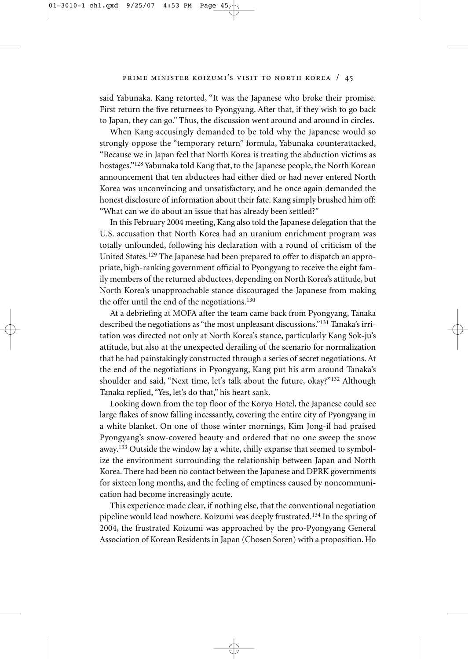said Yabunaka. Kang retorted, "It was the Japanese who broke their promise. First return the five returnees to Pyongyang. After that, if they wish to go back to Japan, they can go." Thus, the discussion went around and around in circles.

When Kang accusingly demanded to be told why the Japanese would so strongly oppose the "temporary return" formula, Yabunaka counterattacked, "Because we in Japan feel that North Korea is treating the abduction victims as hostages."128 Yabunaka told Kang that, to the Japanese people, the North Korean announcement that ten abductees had either died or had never entered North Korea was unconvincing and unsatisfactory, and he once again demanded the honest disclosure of information about their fate. Kang simply brushed him off: "What can we do about an issue that has already been settled?"

In this February 2004 meeting, Kang also told the Japanese delegation that the U.S. accusation that North Korea had an uranium enrichment program was totally unfounded, following his declaration with a round of criticism of the United States.129 The Japanese had been prepared to offer to dispatch an appropriate, high-ranking government official to Pyongyang to receive the eight family members of the returned abductees, depending on North Korea's attitude, but North Korea's unapproachable stance discouraged the Japanese from making the offer until the end of the negotiations.<sup>130</sup>

At a debriefing at MOFA after the team came back from Pyongyang, Tanaka described the negotiations as "the most unpleasant discussions."131 Tanaka's irritation was directed not only at North Korea's stance, particularly Kang Sok-ju's attitude, but also at the unexpected derailing of the scenario for normalization that he had painstakingly constructed through a series of secret negotiations. At the end of the negotiations in Pyongyang, Kang put his arm around Tanaka's shoulder and said, "Next time, let's talk about the future, okay?"132 Although Tanaka replied, "Yes, let's do that," his heart sank.

Looking down from the top floor of the Koryo Hotel, the Japanese could see large flakes of snow falling incessantly, covering the entire city of Pyongyang in a white blanket. On one of those winter mornings, Kim Jong-il had praised Pyongyang's snow-covered beauty and ordered that no one sweep the snow away.133 Outside the window lay a white, chilly expanse that seemed to symbolize the environment surrounding the relationship between Japan and North Korea. There had been no contact between the Japanese and DPRK governments for sixteen long months, and the feeling of emptiness caused by noncommunication had become increasingly acute.

This experience made clear, if nothing else, that the conventional negotiation pipeline would lead nowhere. Koizumi was deeply frustrated.134 In the spring of 2004, the frustrated Koizumi was approached by the pro-Pyongyang General Association of Korean Residents in Japan (Chosen Soren) with a proposition. Ho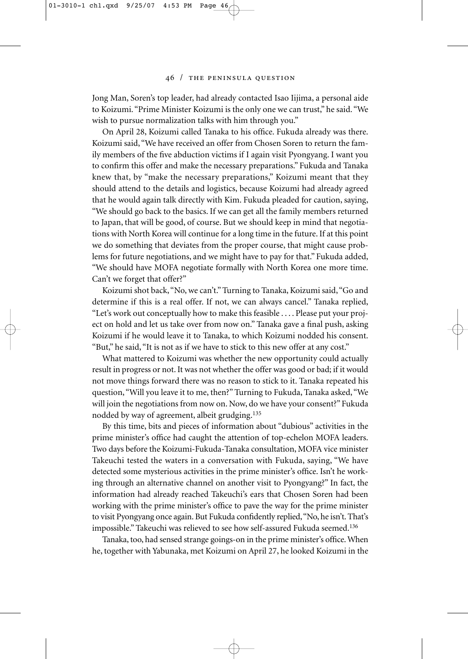Jong Man, Soren's top leader, had already contacted Isao Iijima, a personal aide to Koizumi. "Prime Minister Koizumi is the only one we can trust," he said. "We wish to pursue normalization talks with him through you."

On April 28, Koizumi called Tanaka to his office. Fukuda already was there. Koizumi said, "We have received an offer from Chosen Soren to return the family members of the five abduction victims if I again visit Pyongyang. I want you to confirm this offer and make the necessary preparations." Fukuda and Tanaka knew that, by "make the necessary preparations," Koizumi meant that they should attend to the details and logistics, because Koizumi had already agreed that he would again talk directly with Kim. Fukuda pleaded for caution, saying, "We should go back to the basics. If we can get all the family members returned to Japan, that will be good, of course. But we should keep in mind that negotiations with North Korea will continue for a long time in the future. If at this point we do something that deviates from the proper course, that might cause problems for future negotiations, and we might have to pay for that." Fukuda added, "We should have MOFA negotiate formally with North Korea one more time. Can't we forget that offer?"

Koizumi shot back,"No, we can't." Turning to Tanaka, Koizumi said,"Go and determine if this is a real offer. If not, we can always cancel." Tanaka replied, "Let's work out conceptually how to make this feasible .... Please put your project on hold and let us take over from now on." Tanaka gave a final push, asking Koizumi if he would leave it to Tanaka, to which Koizumi nodded his consent. "But," he said, "It is not as if we have to stick to this new offer at any cost."

What mattered to Koizumi was whether the new opportunity could actually result in progress or not. It was not whether the offer was good or bad; if it would not move things forward there was no reason to stick to it. Tanaka repeated his question, "Will you leave it to me, then?" Turning to Fukuda, Tanaka asked, "We will join the negotiations from now on. Now, do we have your consent?" Fukuda nodded by way of agreement, albeit grudging.<sup>135</sup>

By this time, bits and pieces of information about "dubious" activities in the prime minister's office had caught the attention of top-echelon MOFA leaders. Two days before the Koizumi-Fukuda-Tanaka consultation, MOFA vice minister Takeuchi tested the waters in a conversation with Fukuda, saying, "We have detected some mysterious activities in the prime minister's office. Isn't he working through an alternative channel on another visit to Pyongyang?" In fact, the information had already reached Takeuchi's ears that Chosen Soren had been working with the prime minister's office to pave the way for the prime minister to visit Pyongyang once again. But Fukuda confidently replied,"No, he isn't. That's impossible." Takeuchi was relieved to see how self-assured Fukuda seemed.136

Tanaka, too, had sensed strange goings-on in the prime minister's office. When he, together with Yabunaka, met Koizumi on April 27, he looked Koizumi in the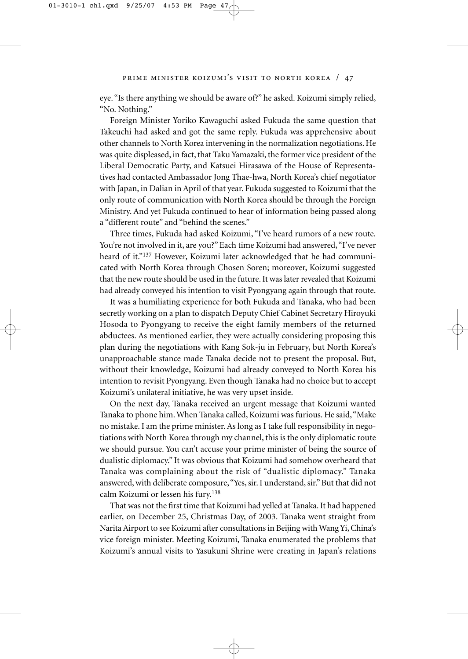eye. "Is there anything we should be aware of?" he asked. Koizumi simply relied, "No. Nothing."

Foreign Minister Yoriko Kawaguchi asked Fukuda the same question that Takeuchi had asked and got the same reply. Fukuda was apprehensive about other channels to North Korea intervening in the normalization negotiations. He was quite displeased, in fact, that Taku Yamazaki, the former vice president of the Liberal Democratic Party, and Katsuei Hirasawa of the House of Representatives had contacted Ambassador Jong Thae-hwa, North Korea's chief negotiator with Japan, in Dalian in April of that year. Fukuda suggested to Koizumi that the only route of communication with North Korea should be through the Foreign Ministry. And yet Fukuda continued to hear of information being passed along a "different route" and "behind the scenes."

Three times, Fukuda had asked Koizumi, "I've heard rumors of a new route. You're not involved in it, are you?" Each time Koizumi had answered,"I've never heard of it."<sup>137</sup> However, Koizumi later acknowledged that he had communicated with North Korea through Chosen Soren; moreover, Koizumi suggested that the new route should be used in the future. It was later revealed that Koizumi had already conveyed his intention to visit Pyongyang again through that route.

It was a humiliating experience for both Fukuda and Tanaka, who had been secretly working on a plan to dispatch Deputy Chief Cabinet Secretary Hiroyuki Hosoda to Pyongyang to receive the eight family members of the returned abductees. As mentioned earlier, they were actually considering proposing this plan during the negotiations with Kang Sok-ju in February, but North Korea's unapproachable stance made Tanaka decide not to present the proposal. But, without their knowledge, Koizumi had already conveyed to North Korea his intention to revisit Pyongyang. Even though Tanaka had no choice but to accept Koizumi's unilateral initiative, he was very upset inside.

On the next day, Tanaka received an urgent message that Koizumi wanted Tanaka to phone him. When Tanaka called, Koizumi was furious. He said,"Make no mistake. I am the prime minister. As long as I take full responsibility in negotiations with North Korea through my channel, this is the only diplomatic route we should pursue. You can't accuse your prime minister of being the source of dualistic diplomacy." It was obvious that Koizumi had somehow overheard that Tanaka was complaining about the risk of "dualistic diplomacy." Tanaka answered, with deliberate composure,"Yes, sir. I understand, sir." But that did not calm Koizumi or lessen his fury.138

That was not the first time that Koizumi had yelled at Tanaka. It had happened earlier, on December 25, Christmas Day, of 2003. Tanaka went straight from Narita Airport to see Koizumi after consultations in Beijing with Wang Yi, China's vice foreign minister. Meeting Koizumi, Tanaka enumerated the problems that Koizumi's annual visits to Yasukuni Shrine were creating in Japan's relations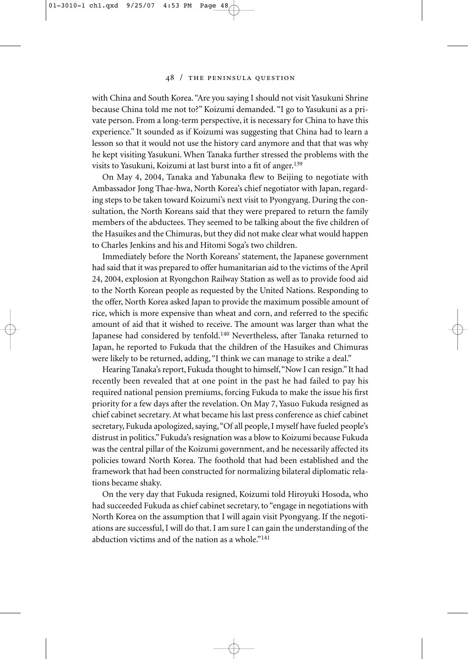with China and South Korea. "Are you saying I should not visit Yasukuni Shrine because China told me not to?" Koizumi demanded. "I go to Yasukuni as a private person. From a long-term perspective, it is necessary for China to have this experience." It sounded as if Koizumi was suggesting that China had to learn a lesson so that it would not use the history card anymore and that that was why he kept visiting Yasukuni. When Tanaka further stressed the problems with the visits to Yasukuni, Koizumi at last burst into a fit of anger.139

On May 4, 2004, Tanaka and Yabunaka flew to Beijing to negotiate with Ambassador Jong Thae-hwa, North Korea's chief negotiator with Japan, regarding steps to be taken toward Koizumi's next visit to Pyongyang. During the consultation, the North Koreans said that they were prepared to return the family members of the abductees. They seemed to be talking about the five children of the Hasuikes and the Chimuras, but they did not make clear what would happen to Charles Jenkins and his and Hitomi Soga's two children.

Immediately before the North Koreans' statement, the Japanese government had said that it was prepared to offer humanitarian aid to the victims of the April 24, 2004, explosion at Ryongchon Railway Station as well as to provide food aid to the North Korean people as requested by the United Nations. Responding to the offer, North Korea asked Japan to provide the maximum possible amount of rice, which is more expensive than wheat and corn, and referred to the specific amount of aid that it wished to receive. The amount was larger than what the Japanese had considered by tenfold.<sup>140</sup> Nevertheless, after Tanaka returned to Japan, he reported to Fukuda that the children of the Hasuikes and Chimuras were likely to be returned, adding, "I think we can manage to strike a deal."

Hearing Tanaka's report, Fukuda thought to himself,"Now I can resign." It had recently been revealed that at one point in the past he had failed to pay his required national pension premiums, forcing Fukuda to make the issue his first priority for a few days after the revelation. On May 7, Yasuo Fukuda resigned as chief cabinet secretary. At what became his last press conference as chief cabinet secretary, Fukuda apologized, saying,"Of all people, I myself have fueled people's distrust in politics." Fukuda's resignation was a blow to Koizumi because Fukuda was the central pillar of the Koizumi government, and he necessarily affected its policies toward North Korea. The foothold that had been established and the framework that had been constructed for normalizing bilateral diplomatic relations became shaky.

On the very day that Fukuda resigned, Koizumi told Hiroyuki Hosoda, who had succeeded Fukuda as chief cabinet secretary, to "engage in negotiations with North Korea on the assumption that I will again visit Pyongyang. If the negotiations are successful, I will do that. I am sure I can gain the understanding of the abduction victims and of the nation as a whole.<sup>"141</sup>